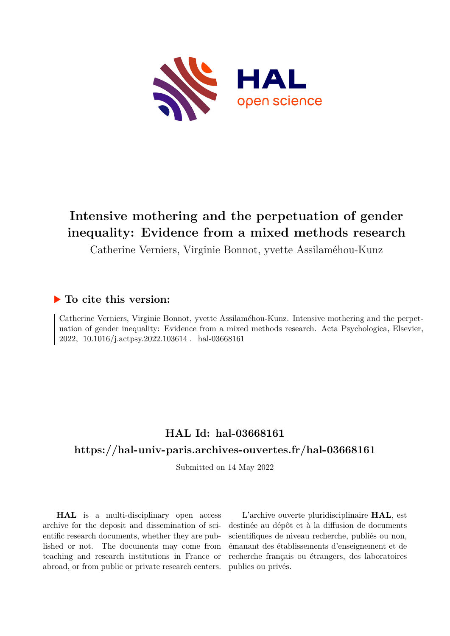

# **Intensive mothering and the perpetuation of gender inequality: Evidence from a mixed methods research**

Catherine Verniers, Virginie Bonnot, yvette Assilaméhou-Kunz

# **To cite this version:**

Catherine Verniers, Virginie Bonnot, yvette Assilaméhou-Kunz. Intensive mothering and the perpetuation of gender inequality: Evidence from a mixed methods research. Acta Psychologica, Elsevier, 2022, 10.1016/j.actpsy.2022.103614 . hal-03668161

# **HAL Id: hal-03668161 <https://hal-univ-paris.archives-ouvertes.fr/hal-03668161>**

Submitted on 14 May 2022

**HAL** is a multi-disciplinary open access archive for the deposit and dissemination of scientific research documents, whether they are published or not. The documents may come from teaching and research institutions in France or abroad, or from public or private research centers.

L'archive ouverte pluridisciplinaire **HAL**, est destinée au dépôt et à la diffusion de documents scientifiques de niveau recherche, publiés ou non, émanant des établissements d'enseignement et de recherche français ou étrangers, des laboratoires publics ou privés.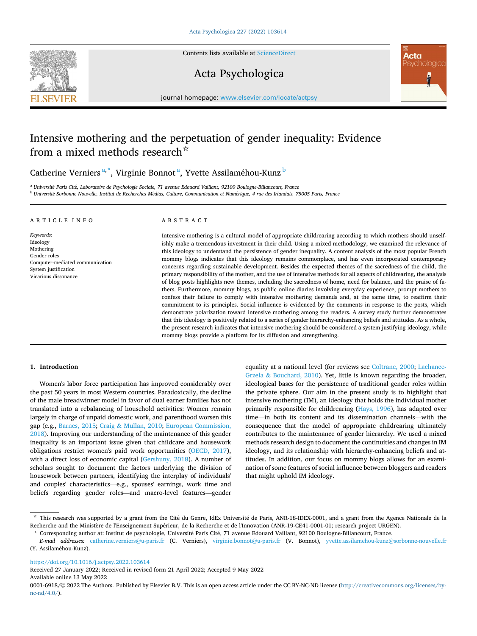

Contents lists available at [ScienceDirect](www.sciencedirect.com/science/journal/00016918)

# Acta Psychologica



journal homepage: [www.elsevier.com/locate/actpsy](https://www.elsevier.com/locate/actpsy)

# Intensive mothering and the perpetuation of gender inequality: Evidence from a mixed methods research<sup>\*</sup>

Catherine Verniers<sup>a,\*</sup>, Virginie Bonnot<sup>a</sup>, Yvette Assilaméhou-Kunz <sup>b</sup>

<sup>a</sup> *Universit*´*e Paris Cit*´*e, Laboratoire de Psychologie Sociale, 71 avenue Edouard Vaillant, 92100 Boulogne-Billancourt, France* <sup>b</sup> *Universit*´*e Sorbonne Nouvelle, Institut de Recherches M*´*edias, Culture, Communication et Num*´*erique, 4 rue des Irlandais, 75005 Paris, France* 

#### ARTICLE INFO

*Keywords:*  Ideology Mothering Gender roles Computer-mediated communication System justification Vicarious dissonance

# ABSTRACT

Intensive mothering is a cultural model of appropriate childrearing according to which mothers should unselfishly make a tremendous investment in their child. Using a mixed methodology, we examined the relevance of this ideology to understand the persistence of gender inequality. A content analysis of the most popular French mommy blogs indicates that this ideology remains commonplace, and has even incorporated contemporary concerns regarding sustainable development. Besides the expected themes of the sacredness of the child, the primary responsibility of the mother, and the use of intensive methods for all aspects of childrearing, the analysis of blog posts highlights new themes, including the sacredness of home, need for balance, and the praise of fathers. Furthermore, mommy blogs, as public online diaries involving everyday experience, prompt mothers to confess their failure to comply with intensive mothering demands and, at the same time, to reaffirm their commitment to its principles. Social influence is evidenced by the comments in response to the posts, which demonstrate polarization toward intensive mothering among the readers. A survey study further demonstrates that this ideology is positively related to a series of gender hierarchy-enhancing beliefs and attitudes. As a whole, the present research indicates that intensive mothering should be considered a system justifying ideology, while mommy blogs provide a platform for its diffusion and strengthening.

# **1. Introduction**

Women's labor force participation has improved considerably over the past 50 years in most Western countries. Paradoxically, the decline of the male breadwinner model in favor of dual earner families has not translated into a rebalancing of household activities: Women remain largely in charge of unpaid domestic work, and parenthood worsen this gap (e.g., Barnes, 2015; Craig & Mullan, 2010; European Commission, 2018). Improving our understanding of the maintenance of this gender inequality is an important issue given that childcare and housework obligations restrict women's paid work opportunities (OECD, 2017), with a direct loss of economic capital (Gershuny, 2018). A number of scholars sought to document the factors underlying the division of housework between partners, identifying the interplay of individuals' and couples' characteristics—e.g., spouses' earnings, work time and beliefs regarding gender roles—and macro-level features—gender

equality at a national level (for reviews see Coltrane, 2000; Lachance-Grzela & Bouchard, 2010). Yet, little is known regarding the broader, ideological bases for the persistence of traditional gender roles within the private sphere. Our aim in the present study is to highlight that intensive mothering (IM), an ideology that holds the individual mother primarily responsible for childrearing (Hays, 1996), has adapted over time—in both its content and its dissemination channels—with the consequence that the model of appropriate childrearing ultimately contributes to the maintenance of gender hierarchy. We used a mixed methods research design to document the continuities and changes in IM ideology, and its relationship with hierarchy-enhancing beliefs and attitudes. In addition, our focus on mommy blogs allows for an examination of some features of social influence between bloggers and readers that might uphold IM ideology.

<https://doi.org/10.1016/j.actpsy.2022.103614>

Received 27 January 2022; Received in revised form 21 April 2022; Accepted 9 May 2022

Available online 13 May 2022

0001-6918/© 2022 The Authors. Published by Elsevier B.V. This is an open access article under the CC BY-NC-ND license([http://creativecommons.org/licenses/by](http://creativecommons.org/licenses/by-nc-nd/4.0/)[nc-nd/4.0/](http://creativecommons.org/licenses/by-nc-nd/4.0/)).

<sup>\*</sup> This research was supported by a grant from the Cité du Genre, IdEx Université de Paris, ANR-18-IDEX-0001, and a grant from the Agence Nationale de la Recherche and the Ministère de l'Enseignement Supérieur, de la Recherche et de l'Innovation (ANR-19-CE41-0001-01; research project URGEN).

<sup>\*</sup> Corresponding author at: Institut de psychologie, Université Paris Cité, 71 avenue Edouard Vaillant, 92100 Boulogne-Billancourt, France.

*E-mail addresses:* [catherine.verniers@u-paris.fr](mailto:catherine.verniers@u-paris.fr) (C. Verniers), [virginie.bonnot@u-paris.fr](mailto:virginie.bonnot@u-paris.fr) (V. Bonnot), [yvette.assilamehou-kunz@sorbonne-nouvelle.fr](mailto:yvette.assilamehou-kunz@sorbonne-nouvelle.fr)  (Y. Assilaméhou-Kunz).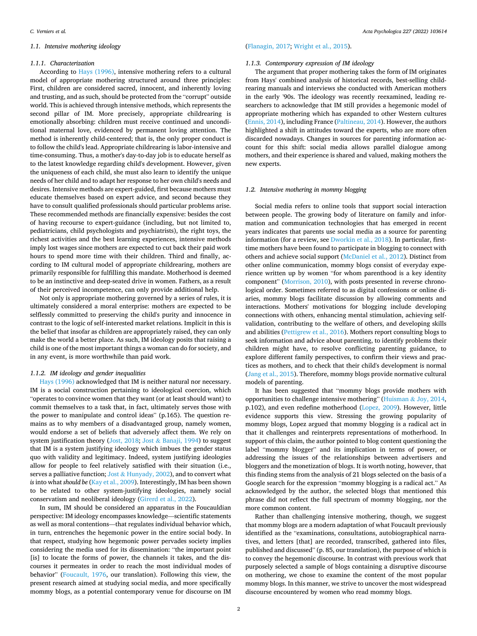### *1.1. Intensive mothering ideology*

#### *1.1.1. Characterization*

According to Hays (1996), intensive mothering refers to a cultural model of appropriate mothering structured around three principles: First, children are considered sacred, innocent, and inherently loving and trusting, and as such, should be protected from the "corrupt" outside world. This is achieved through intensive methods, which represents the second pillar of IM. More precisely, appropriate childrearing is emotionally absorbing: children must receive continued and unconditional maternal love, evidenced by permanent loving attention. The method is inherently child-centered; that is, the only proper conduct is to follow the child's lead. Appropriate childrearing is labor-intensive and time-consuming. Thus, a mother's day-to-day job is to educate herself as to the latest knowledge regarding child's development. However, given the uniqueness of each child, she must also learn to identify the unique needs of her child and to adapt her response to her own child's needs and desires. Intensive methods are expert-guided, first because mothers must educate themselves based on expert advice, and second because they have to consult qualified professionals should particular problems arise. These recommended methods are financially expensive: besides the cost of having recourse to expert-guidance (including, but not limited to, pediatricians, child psychologists and psychiatrists), the right toys, the richest activities and the best learning experiences, intensive methods imply lost wages since mothers are expected to cut back their paid work hours to spend more time with their children. Third and finally, according to IM cultural model of appropriate childrearing, mothers are primarily responsible for fulfilling this mandate. Motherhood is deemed to be an instinctive and deep-seated drive in women. Fathers, as a result of their perceived incompetence, can only provide additional help.

Not only is appropriate mothering governed by a series of rules, it is ultimately considered a moral enterprise: mothers are expected to be selflessly committed to preserving the child's purity and innocence in contrast to the logic of self-interested market relations. Implicit in this is the belief that insofar as children are appropriately raised, they can only make the world a better place. As such, IM ideology posits that raising a child is one of the most important things a woman can do for society, and in any event, is more worthwhile than paid work.

#### *1.1.2. IM ideology and gender inequalities*

Hays (1996) acknowledged that IM is neither natural nor necessary. IM is a social construction pertaining to ideological coercion, which "operates to convince women that they want (or at least should want) to commit themselves to a task that, in fact, ultimately serves those with the power to manipulate and control ideas" (p.165). The question remains as to why members of a disadvantaged group, namely women, would endorse a set of beliefs that adversely affect them. We rely on system justification theory (Jost, 2018; Jost & Banaji, 1994) to suggest that IM is a system justifying ideology which imbues the gender status quo with validity and legitimacy. Indeed, system justifying ideologies allow for people to feel relatively satisfied with their situation (i.e., serves a palliative function; Jost & Hunyady, 2002), and to convert what *is* into what *should be* (Kay et al., 2009). Interestingly, IM has been shown to be related to other system-justifying ideologies, namely social conservatism and neoliberal ideology (Girerd et al., 2022).

In sum, IM should be considered an apparatus in the Foucauldian perspective: IM ideology encompasses knowledge—scientific statements as well as moral contentions—that regulates individual behavior which, in turn, entrenches the hegemonic power in the entire social body. In that respect, studying how hegemonic power pervades society implies considering the media used for its dissemination: "the important point [is] to locate the forms of power, the channels it takes, and the discourses it permeates in order to reach the most individual modes of behavior" (Foucault, 1976, our translation). Following this view, the present research aimed at studying social media, and more specifically mommy blogs, as a potential contemporary venue for discourse on IM

# (Flanagin, 2017; Wright et al., 2015).

# *1.1.3. Contemporary expression of IM ideology*

The argument that proper mothering takes the form of IM originates from Hays' combined analysis of historical records, best-selling childrearing manuals and interviews she conducted with American mothers in the early '90s. The ideology was recently reexamined, leading researchers to acknowledge that IM still provides a hegemonic model of appropriate mothering which has expanded to other Western cultures (Ennis, 2014), including France (Paltineau, 2014). However, the authors highlighted a shift in attitudes toward the experts, who are more often discarded nowadays. Changes in sources for parenting information account for this shift: social media allows parallel dialogue among mothers, and their experience is shared and valued, making mothers the new experts.

#### *1.2. Intensive mothering in mommy blogging*

Social media refers to online tools that support social interaction between people. The growing body of literature on family and information and communication technologies that has emerged in recent years indicates that parents use social media as a source for parenting information (for a review, see Dworkin et al., 2018). In particular, firsttime mothers have been found to participate in blogging to connect with others and achieve social support (McDaniel et al., 2012). Distinct from other online communication, mommy blogs consist of everyday experience written up by women "for whom parenthood is a key identity component" (Morrison, 2010), with posts presented in reverse chronological order. Sometimes referred to as digital confessions or online diaries, mommy blogs facilitate discussion by allowing comments and interactions. Mothers' motivations for blogging include developing connections with others, enhancing mental stimulation, achieving selfvalidation, contributing to the welfare of others, and developing skills and abilities (Pettigrew et al., 2016). Mothers report consulting blogs to seek information and advice about parenting, to identify problems their children might have, to resolve conflicting parenting guidance, to explore different family perspectives, to confirm their views and practices as mothers, and to check that their child's development is normal (Jang et al., 2015). Therefore, mommy blogs provide normative cultural models of parenting.

It has been suggested that "mommy blogs provide mothers with opportunities to challenge intensive mothering" (Huisman & Joy, 2014, p.102), and even redefine motherhood (Lopez, 2009). However, little evidence supports this view. Stressing the growing popularity of mommy blogs, Lopez argued that mommy blogging is a radical act in that it challenges and reinterprets representations of motherhood. In support of this claim, the author pointed to blog content questioning the label "mommy blogger" and its implication in terms of power, or addressing the issues of the relationships between advertisers and bloggers and the monetization of blogs. It is worth noting, however, that this finding stems from the analysis of 21 blogs selected on the basis of a Google search for the expression "mommy blogging is a radical act." As acknowledged by the author, the selected blogs that mentioned this phrase did not reflect the full spectrum of mommy blogging, nor the more common content.

Rather than challenging intensive mothering, though, we suggest that mommy blogs are a modern adaptation of what Foucault previously identified as the "examinations, consultations, autobiographical narratives, and letters [that] are recorded, transcribed, gathered into files, published and discussed" (p. 85, our translation), the purpose of which is to convey the hegemonic discourse. In contrast with previous work that purposely selected a sample of blogs containing a disruptive discourse on mothering, we chose to examine the content of the most popular mommy blogs. In this manner, we strive to uncover the most widespread discourse encountered by women who read mommy blogs.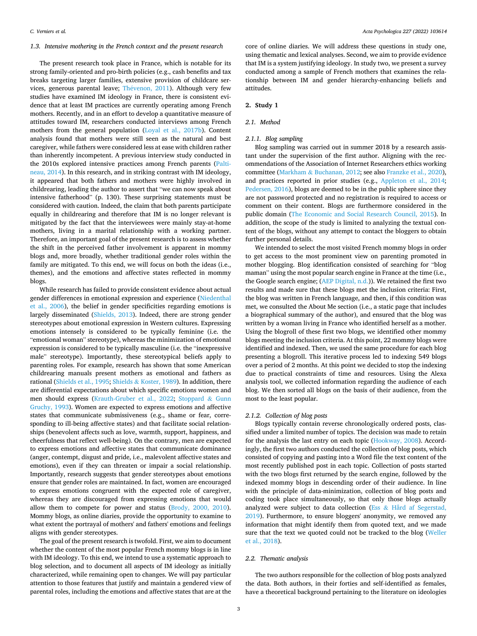# *1.3. Intensive mothering in the French context and the present research*

The present research took place in France, which is notable for its strong family-oriented and pro-birth policies (e.g., cash benefits and tax breaks targeting larger families, extensive provision of childcare services, generous parental leave; Thévenon, 2011). Although very few studies have examined IM ideology in France, there is consistent evidence that at least IM practices are currently operating among French mothers. Recently, and in an effort to develop a quantitative measure of attitudes toward IM, researchers conducted interviews among French mothers from the general population (Loyal et al., 2017b). Content analysis found that mothers were still seen as the natural and best caregiver, while fathers were considered less at ease with children rather than inherently incompetent. A previous interview study conducted in the 2010s explored intensive practices among French parents (Paltineau, 2014). In this research, and in striking contrast with IM ideology, it appeared that both fathers and mothers were highly involved in childrearing, leading the author to assert that "we can now speak about intensive fatherhood" (p. 130). These surprising statements must be considered with caution. Indeed, the claim that both parents participate equally in childrearing and therefore that IM is no longer relevant is mitigated by the fact that the interviewees were mainly stay-at-home mothers, living in a marital relationship with a working partner. Therefore, an important goal of the present research is to assess whether the shift in the perceived father involvement is apparent in mommy blogs and, more broadly, whether traditional gender roles within the family are mitigated. To this end, we will focus on both the ideas (i.e., themes), and the emotions and affective states reflected in mommy blogs.

While research has failed to provide consistent evidence about actual gender differences in emotional expression and experience (Niedenthal et al., 2006), the belief in gender specificities regarding emotions is largely disseminated (Shields, 2013). Indeed, there are strong gender stereotypes about emotional expression in Western cultures. Expressing emotions intensely is considered to be typically feminine (i.e. the "emotional woman" stereotype), whereas the minimization of emotional expression is considered to be typically masculine (i.e. the "inexpressive male" stereotype). Importantly, these stereotypical beliefs apply to parenting roles. For example, research has shown that some American childrearing manuals present mothers as emotional and fathers as rational (Shields et al., 1995; Shields & Koster, 1989). In addition, there are differential expectations about which specific emotions women and men should express (Krauth-Gruber et al., 2022; Stoppard & Gunn Gruchy, 1993). Women are expected to express emotions and affective states that communicate submissiveness (e.g., shame or fear, corresponding to ill-being affective states) and that facilitate social relationships (benevolent affects such as love, warmth, support, happiness, and cheerfulness that reflect well-being). On the contrary, men are expected to express emotions and affective states that communicate dominance (anger, contempt, disgust and pride, i.e., malevolent affective states and emotions), even if they can threaten or impair a social relationship. Importantly, research suggests that gender stereotypes about emotions ensure that gender roles are maintained. In fact, women are encouraged to express emotions congruent with the expected role of caregiver, whereas they are discouraged from expressing emotions that would allow them to compete for power and status (Brody, 2000, 2010). Mommy blogs, as online diaries, provide the opportunity to examine to what extent the portrayal of mothers' and fathers' emotions and feelings aligns with gender stereotypes.

The goal of the present research is twofold. First, we aim to document whether the content of the most popular French mommy blogs is in line with IM ideology. To this end, we intend to use a systematic approach to blog selection, and to document all aspects of IM ideology as initially characterized, while remaining open to changes. We will pay particular attention to those features that justify and maintain a gendered view of parental roles, including the emotions and affective states that are at the core of online diaries. We will address these questions in study one, using thematic and lexical analyses. Second, we aim to provide evidence that IM is a system justifying ideology. In study two, we present a survey conducted among a sample of French mothers that examines the relationship between IM and gender hierarchy-enhancing beliefs and attitudes.

#### **2. Study 1**

#### *2.1. Method*

#### *2.1.1. Blog sampling*

Blog sampling was carried out in summer 2018 by a research assistant under the supervision of the first author. Aligning with the recommendations of the Association of Internet Researchers ethics working committee (Markham & Buchanan, 2012; see also Franzke et al., 2020), and practices reported in prior studies (e.g., Appleton et al., 2014; Pedersen, 2016), blogs are deemed to be in the public sphere since they are not password protected and no registration is required to access or comment on their content. Blogs are furthermore considered in the public domain (The Economic and Social Research Council, 2015). In addition, the scope of the study is limited to analyzing the textual content of the blogs, without any attempt to contact the bloggers to obtain further personal details.

We intended to select the most visited French mommy blogs in order to get access to the most prominent view on parenting promoted in mother blogging. Blog identification consisted of searching for "blog maman" using the most popular search engine in France at the time (i.e., the Google search engine; (AEP Digital, n.d.)). We retained the first two results and made sure that these blogs met the inclusion criteria: First, the blog was written in French language, and then, if this condition was met, we consulted the About Me section (i.e., a static page that includes a biographical summary of the author), and ensured that the blog was written by a woman living in France who identified herself as a mother. Using the blogroll of these first two blogs, we identified other mommy blogs meeting the inclusion criteria. At this point, 22 mommy blogs were identified and indexed. Then, we used the same procedure for each blog presenting a blogroll. This iterative process led to indexing 549 blogs over a period of 2 months. At this point we decided to stop the indexing due to practical constraints of time and resources. Using the Alexa analysis tool, we collected information regarding the audience of each blog. We then sorted all blogs on the basis of their audience, from the most to the least popular.

# *2.1.2. Collection of blog posts*

Blogs typically contain reverse chronologically ordered posts, classified under a limited number of topics. The decision was made to retain for the analysis the last entry on each topic (Hookway, 2008). Accordingly, the first two authors conducted the collection of blog posts, which consisted of copying and pasting into a Word file the text content of the most recently published post in each topic. Collection of posts started with the two blogs first returned by the search engine, followed by the indexed mommy blogs in descending order of their audience. In line with the principle of data-minimization, collection of blog posts and coding took place simultaneously, so that only those blogs actually analyzed were subject to data collection (Ess & Hård af Segerstad, 2019). Furthermore, to ensure bloggers' anonymity, we removed any information that might identify them from quoted text, and we made sure that the text we quoted could not be tracked to the blog (Weller et al., 2018).

# *2.2. Thematic analysis*

The two authors responsible for the collection of blog posts analyzed the data. Both authors, in their forties and self-identified as females, have a theoretical background pertaining to the literature on ideologies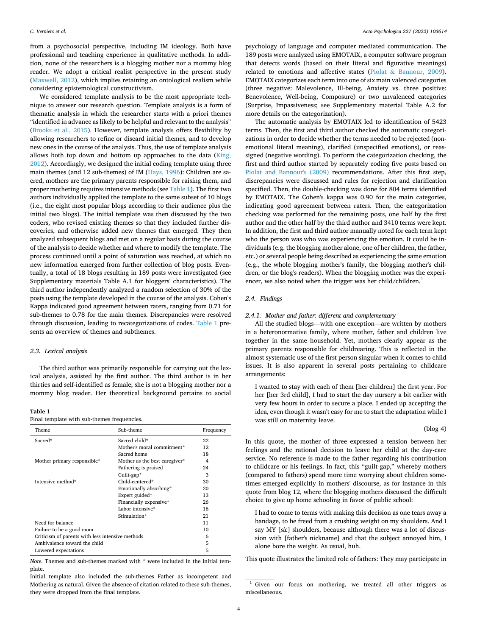from a psychosocial perspective, including IM ideology. Both have professional and teaching experience in qualitative methods. In addition, none of the researchers is a blogging mother nor a mommy blog reader. We adopt a critical realist perspective in the present study (Maxwell, 2012), which implies retaining an ontological realism while considering epistemological constructivism.

We considered template analysis to be the most appropriate technique to answer our research question. Template analysis is a form of thematic analysis in which the researcher starts with a priori themes "identified in advance as likely to be helpful and relevant to the analysis" (Brooks et al., 2015). However, template analysis offers flexibility by allowing researchers to refine or discard initial themes, and to develop new ones in the course of the analysis. Thus, the use of template analysis allows both top down and bottom up approaches to the data (King, 2012). Accordingly, we designed the initial coding template using three main themes (and 12 sub-themes) of IM (Hays, 1996): Children are sacred, mothers are the primary parents responsible for raising them, and proper mothering requires intensive methods (see Table 1). The first two authors individually applied the template to the same subset of 10 blogs (i.e., the eight most popular blogs according to their audience plus the initial two blogs). The initial template was then discussed by the two coders, who revised existing themes so that they included further discoveries, and otherwise added new themes that emerged. They then analyzed subsequent blogs and met on a regular basis during the course of the analysis to decide whether and where to modify the template. The process continued until a point of saturation was reached, at which no new information emerged from further collection of blog posts. Eventually, a total of 18 blogs resulting in 189 posts were investigated (see Supplementary materials Table A.1 for bloggers' characteristics). The third author independently analyzed a random selection of 30% of the posts using the template developed in the course of the analysis. Cohen's Kappa indicated good agreement between raters, ranging from 0.71 for sub-themes to 0.78 for the main themes. Discrepancies were resolved through discussion, leading to recategorizations of codes. Table 1 presents an overview of themes and subthemes.

# *2.3. Lexical analysis*

The third author was primarily responsible for carrying out the lexical analysis, assisted by the first author. The third author is in her thirties and self-identified as female; she is not a blogging mother nor a mommy blog reader. Her theoretical background pertains to social

#### **Table 1**

Final template with sub-themes frequencies.

| Theme                                            | Sub-theme                     | Frequency |
|--------------------------------------------------|-------------------------------|-----------|
| Sacred*                                          | Sacred child*                 | 22        |
|                                                  | Mother's moral commitment*    | 12        |
|                                                  | Sacred home                   | 18        |
| Mother primary responsible*                      | Mother as the best caregiver* | 4         |
|                                                  | Fathering is praised          | 24        |
|                                                  | Guilt-gap*                    | 3         |
| Intensive method*                                | Child-centered*               | 30        |
|                                                  | Emotionally absorbing*        | 20        |
|                                                  | Expert guided*                | 13        |
|                                                  | Financially expensive*        | 26        |
|                                                  | Labor intensive*              | 16        |
|                                                  | Stimulation*                  | 21        |
| Need for balance                                 |                               | 11        |
| Failure to be a good mom                         |                               | 10        |
| Criticism of parents with less intensive methods |                               | 6         |
| Ambivalence toward the child                     |                               | 5         |
| Lowered expectations                             |                               | 5         |

*Note*. Themes and sub-themes marked with \* were included in the initial template.

Initial template also included the sub-themes Father as incompetent and Mothering as natural. Given the absence of citation related to these sub-themes, they were dropped from the final template.

psychology of language and computer mediated communication. The 189 posts were analyzed using EMOTAIX, a computer software program that detects words (based on their literal and figurative meanings) related to emotions and affective states (Piolat & Bannour, 2009). EMOTAIX categorizes each term into one of six main valenced categories (three negative: Malevolence, Ill-being, Anxiety vs. three positive: Benevolence, Well-being, Composure) or two unvalenced categories (Surprise, Impassiveness; see Supplementary material Table A.2 for more details on the categorization).

The automatic analysis by EMOTAIX led to identification of 5423 terms. Then, the first and third author checked the automatic categorizations in order to decide whether the terms needed to be rejected (nonemotional literal meaning), clarified (unspecified emotions), or reassigned (negative wording). To perform the categorization checking, the first and third author started by separately coding five posts based on Piolat and Bannour's (2009) recommendations. After this first step, discrepancies were discussed and rules for rejection and clarification specified. Then, the double-checking was done for 804 terms identified by EMOTAIX. The Cohen's kappa was 0.90 for the main categories, indicating good agreement between raters. Then, the categorization checking was performed for the remaining posts, one half by the first author and the other half by the third author and 3410 terms were kept. In addition, the first and third author manually noted for each term kept who the person was who was experiencing the emotion. It could be individuals (e.g. the blogging mother alone, one of her children, the father, etc.) or several people being described as experiencing the same emotion (e.g., the whole blogging mother's family, the blogging mother's children, or the blog's readers). When the blogging mother was the experiencer, we also noted when the trigger was her child/children.<sup>1</sup>

#### *2.4. Findings*

# *2.4.1. Mother and father: different and complementary*

All the studied blogs—with one exception—are written by mothers in a heteronormative family, where mother, father and children live together in the same household. Yet, mothers clearly appear as the primary parents responsible for childrearing. This is reflected in the almost systematic use of the first person singular when it comes to child issues. It is also apparent in several posts pertaining to childcare arrangements:

I wanted to stay with each of them [her children] the first year. For her [her 3rd child], I had to start the day nursery a bit earlier with very few hours in order to secure a place. I ended up accepting the idea, even though it wasn't easy for me to start the adaptation while I was still on maternity leave.

#### (blog 4)

In this quote, the mother of three expressed a tension between her feelings and the rational decision to leave her child at the day-care service. No reference is made to the father regarding his contribution to childcare or his feelings. In fact, this "guilt-gap," whereby mothers (compared to fathers) spend more time worrying about children sometimes emerged explicitly in mothers' discourse, as for instance in this quote from blog 12, where the blogging mothers discussed the difficult choice to give up home schooling in favor of public school:

I had to come to terms with making this decision as one tears away a bandage, to be freed from a crushing weight on my shoulders. And I say MY [*sic*] shoulders, because although there was a lot of discussion with [father's nickname] and that the subject annoyed him, I alone bore the weight. As usual, huh.

This quote illustrates the limited role of fathers: They may participate in

<sup>1</sup> Given our focus on mothering, we treated all other triggers as miscellaneous.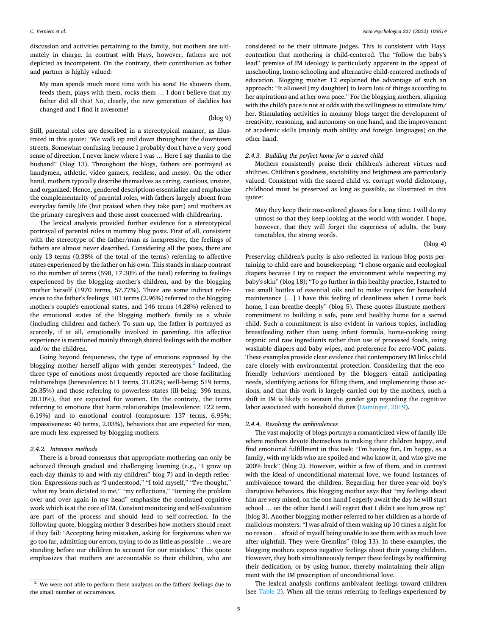discussion and activities pertaining to the family, but mothers are ultimately in charge. In contrast with Hays, however, fathers are not depicted as incompetent. On the contrary, their contribution as father and partner is highly valued:

My man spends much more time with his sons! He showers them, feeds them, plays with them, rocks them … I don't believe that my father did all this! No, clearly, the new generation of daddies has changed and I find it awesome!

#### (blog 9)

Still, parental roles are described in a stereotypical manner, as illustrated in this quote: "We walk up and down throughout the downtown streets. Somewhat confusing because I probably don't have a very good sense of direction, I never knew where I was … Here I say thanks to the husband" (blog 13). Throughout the blogs, fathers are portrayed as handymen, athletic, video gamers, reckless, and messy. On the other hand, mothers typically describe themselves as caring, cautious, unsure, and organized. Hence, gendered descriptions essentialize and emphasize the complementarity of parental roles, with fathers largely absent from everyday family life (but praised when they take part) and mothers as the primary caregivers and those most concerned with childrearing.

The lexical analysis provided further evidence for a stereotypical portrayal of parental roles in mommy blog posts. First of all, consistent with the stereotype of the father/man as inexpressive, the feelings of fathers are almost never described. Considering all the posts, there are only 13 terms (0.38% of the total of the terms) referring to affective states experienced by the father on his own. This stands in sharp contrast to the number of terms (590, 17.30% of the total) referring to feelings experienced by the blogging mother's children, and by the blogging mother herself (1970 terms, 57.77%). There are some indirect references to the father's feelings: 101 terms (2.96%) referred to the blogging mother's couple's emotional states, and 146 terms (4.28%) referred to the emotional states of the blogging mother's family as a whole (including children and father). To sum up, the father is portrayed as scarcely, if at all, emotionally involved in parenting. His affective experience is mentioned mainly through shared feelings with the mother and/or the children.

Going beyond frequencies, the type of emotions expressed by the blogging mother herself aligns with gender stereotypes.<sup>2</sup> Indeed, the three type of emotions most frequently reported are those facilitating relationships (benevolence: 611 terms, 31.02%; well-being: 519 terms, 26.35%) and those referring to powerless states (ill-being: 396 terms, 20.10%), that are expected for women. On the contrary, the terms referring to emotions that harm relationships (malevolence: 122 term, 6.19%) and to emotional control (composure: 137 terms, 6.95%; impassiveness: 40 terms, 2.03%), behaviors that are expected for men, are much less expressed by blogging mothers.

# *2.4.2. Intensive methods*

There is a broad consensus that appropriate mothering can only be achieved through gradual and challenging learning (e.g., "I grow up each day thanks to and with my children" blog 7) and in-depth reflection. Expressions such as "I understood," "I told myself," "I've thought," "what my brain dictated to me," "my reflections," "turning the problem over and over again in my head" emphasize the continued cognitive work which is at the core of IM. Constant monitoring and self-evaluation are part of the process and should lead to self-correction. In the following quote, blogging mother 3 describes how mothers should react if they fail: "Accepting being mistaken, asking for forgiveness when we go too far, admitting our errors, trying to do as little as possible … we are standing before our children to account for our mistakes." This quote emphasizes that mothers are accountable to their children, who are

considered to be their ultimate judges. This is consistent with Hays' contention that mothering is child-centered. The "follow the baby's lead" premise of IM ideology is particularly apparent in the appeal of unschooling, home-schooling and alternative child-centered methods of education. Blogging mother 12 explained the advantage of such an approach: "It allowed [my daughter] to learn lots of things according to her aspirations and at her own pace." For the blogging mothers, aligning with the child's pace is not at odds with the willingness to stimulate him/ her. Stimulating activities in mommy blogs target the development of creativity, reasoning, and autonomy on one hand, and the improvement of academic skills (mainly math ability and foreign languages) on the other hand.

#### *2.4.3. Building the perfect home for a sacred child*

Mothers consistently praise their children's inherent virtues and abilities. Children's goodness, sociability and brightness are particularly valued. Consistent with the sacred child vs. corrupt world dichotomy, childhood must be preserved as long as possible, as illustrated in this quote:

May they keep their rose-colored glasses for a long time. I will do my utmost so that they keep looking at the world with wonder. I hope, however, that they will forget the eagerness of adults, the busy timetables, the strong words.

(blog 4)

Preserving children's purity is also reflected in various blog posts pertaining to child care and housekeeping: "I chose organic and ecological diapers because I try to respect the environment while respecting my baby's skin" (blog 18); "To go further in this healthy practice, I started to use small bottles of essential oils and to make recipes for household maintenance […] I have this feeling of cleanliness when I come back home, I can breathe deeply" (blog 5). These quotes illustrate mothers' commitment to building a safe, pure and healthy home for a sacred child. Such a commitment is also evident in various topics, including breastfeeding rather than using infant formula, home-cooking using organic and raw ingredients rather than use of processed foods, using washable diapers and baby wipes, and preference for zero-VOC paints. These examples provide clear evidence that contemporary IM links child care closely with environmental protection. Considering that the ecofriendly behaviors mentioned by the bloggers entail anticipating needs, identifying actions for filling them, and implementing those actions, and that this work is largely carried out by the mothers, such a shift in IM is likely to worsen the gender gap regarding the cognitive labor associated with household duties (Daminger, 2019).

#### *2.4.4. Resolving the ambivalences*

The vast majority of blogs portrays a romanticized view of family life where mothers devote themselves to making their children happy, and find emotional fulfillment in this task: "I'm having fun, I'm happy, as a family, with my kids who are spoiled and who know it, and who give me 200% back" (blog 2). However, within a few of them, and in contrast with the ideal of unconditional maternal love, we found instances of ambivalence toward the children. Regarding her three-year-old boy's disruptive behaviors, this blogging mother says that "my feelings about him are very mixed, on the one hand I eagerly await the day he will start school … on the other hand I will regret that I didn't see him grow up" (blog 3). Another blogging mother referred to her children as a horde of malicious monsters: "I was afraid of them waking up 10 times a night for no reason … afraid of myself being unable to see them with as much love after nightfall. They were Gremlins" (blog 13). In these examples, the blogging mothers express negative feelings about their young children. However, they both simultaneously temper these feelings by reaffirming their dedication, or by using humor, thereby maintaining their alignment with the IM prescription of unconditional love.

The lexical analysis confirms ambivalent feelings toward children (see Table 2). When all the terms referring to feelings experienced by

 $^{\rm 2}$  We were not able to perform these analyses on the fathers' feelings due to the small number of occurrences.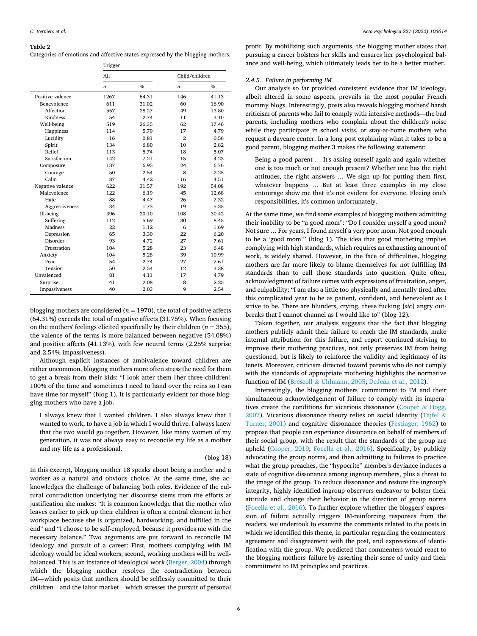#### **Table 2**

| Categories of emotions and affective states expressed by the blogging mothers. |  |  |
|--------------------------------------------------------------------------------|--|--|
|--------------------------------------------------------------------------------|--|--|

|                  | Trigger          |               |                  |               |  |  |  |
|------------------|------------------|---------------|------------------|---------------|--|--|--|
|                  | All              |               | Child/children   |               |  |  |  |
|                  | $\boldsymbol{n}$ | $\frac{0}{0}$ | $\boldsymbol{n}$ | $\frac{0}{0}$ |  |  |  |
| Positive valence | 1267             | 64.31         | 146              | 41.13         |  |  |  |
| Benevolence      | 611              | 31.02         | 60               | 16.90         |  |  |  |
| Affection        | 557              | 28.27         | 49               | 13.80         |  |  |  |
| Kindness         | 54               | 2.74          | 11               | 3.10          |  |  |  |
| Well-being       | 519              | 26.35         | 62               | 17.46         |  |  |  |
| Happiness        | 114              | 5.79          | 17               | 4.79          |  |  |  |
| Lucidity         | 16               | 0.81          | $\overline{2}$   | 0.56          |  |  |  |
| Spirit           | 134              | 6.80          | 10               | 2.82          |  |  |  |
| Relief           | 113              | 5.74          | 18               | 5.07          |  |  |  |
| Satisfaction     | 142              | 7.21          | 15               | 4.23          |  |  |  |
| Composure        | 137              | 6.95          | 24               | 6.76          |  |  |  |
| Courage          | 50               | 2.54          | 8                | 2.25          |  |  |  |
| Calm             | 87               | 4.42          | 16               | 4.51          |  |  |  |
| Negative valence | 622              | 31.57         | 192              | 54.08         |  |  |  |
| Malevolence      | 122              | 6.19          | 45               | 12.68         |  |  |  |
| <b>Hate</b>      | 88               | 4.47          | 26               | 7.32          |  |  |  |
| Aggressiveness   | 34               | 1.73          | 19               | 5.35          |  |  |  |
| Ill-being        | 396              | 20.10         | 108              | 30.42         |  |  |  |
| Suffering        | 112              | 5.69          | 30               | 8.45          |  |  |  |
| Madness          | 22               | 1.12          | 6                | 1.69          |  |  |  |
| Depression       | 65               | 3.30          | 22               | 6.20          |  |  |  |
| Disorder         | 93               | 4.72          | 27               | 7.61          |  |  |  |
| Frustration      | 104              | 5.28          | 23               | 6.48          |  |  |  |
| Anxiety          | 104              | 5.28          | 39               | 10.99         |  |  |  |
| Fear             | 54               | 2.74          | 27               | 7.61          |  |  |  |
| Tension          | 50               | 2.54          | 12               | 3.38          |  |  |  |
| Unvalenced       | 81               | 4.11          | 17               | 4.79          |  |  |  |
| Surprise         | 41               | 2.08          | 8                | 2.25          |  |  |  |
| Impassiveness    | 40               | 2.03          | 9                | 2.54          |  |  |  |

blogging mothers are considered ( $n = 1970$ ), the total of positive affects (64.31%) exceeds the total of negative affects (31.75%). When focusing on the mothers' feelings elicited specifically by their children ( $n = 355$ ), the valence of the terms is more balanced between negative (54.08%) and positive affects (41.13%), with few neutral terms (2.25% surprise and 2.54% impassiveness).

Although explicit instances of ambivalence toward children are rather uncommon, blogging mothers more often stress the need for them to get a break from their kids: "I look after them [her three children] 100% of the time and sometimes I need to hand over the reins so I can have time for myself" (blog 1). It is particularly evident for those blogging mothers who have a job.

I always knew that I wanted children. I also always knew that I wanted to work, to have a job in which I would thrive. I always knew that the two would go together. However, like many women of my generation, it was not always easy to reconcile my life as a mother and my life as a professional.

#### (blog 18)

In this excerpt, blogging mother 18 speaks about being a mother and a worker as a natural and obvious choice. At the same time, she acknowledges the challenge of balancing both roles. Evidence of the cultural contradiction underlying her discourse stems from the efforts at justification she makes: "It is common knowledge that the mother who leaves earlier to pick up their children is often a central element in her workplace because she is organized, hardworking, and fulfilled in the end" and "I choose to be self-employed, because it provides me with the necessary balance." Two arguments are put forward to reconcile IM ideology and pursuit of a career: First, mothers complying with IM ideology would be ideal workers; second, working mothers will be wellbalanced. This is an instance of ideological work (Berger, 2004) through which the blogging mother resolves the contradiction between IM—which posits that mothers should be selflessly committed to their children—and the labor market—which stresses the pursuit of personal

profit. By mobilizing such arguments, the blogging mother states that pursuing a career bolsters her skills and ensures her psychological balance and well-being, which ultimately leads her to be a better mother.

# *2.4.5. Failure in performing IM*

Our analysis so far provided consistent evidence that IM ideology, albeit altered in some aspects, prevails in the most popular French mommy blogs. Interestingly, posts also reveals blogging mothers' harsh criticism of parents who fail to comply with intensive methods—the bad parents, including mothers who complain about the children's noise while they participate in school visits, or stay-at-home mothers who request a daycare center. In a long post explaining what it takes to be a good parent, blogging mother 3 makes the following statement:

Being a good parent … It's asking oneself again and again whether one is too much or not enough present? Whether one has the right attitudes, the right answers … We sign up for putting them first, whatever happens … But at least three examples in my close entourage show me that it's not evident for everyone. Fleeing one's responsibilities, it's common unfortunately.

At the same time, we find some examples of blogging mothers admitting their inability to be "a good mom": "Do I consider myself a good mom? Not sure … For years, I found myself a very poor mom. Not good enough to be a 'good mom'" (blog 1). The idea that good mothering implies complying with high standards, which requires an exhausting amount of work, is widely shared. However, in the face of difficulties, blogging mothers are far more likely to blame themselves for not fulfilling IM standards than to call those standards into question. Quite often, acknowledgment of failure comes with expressions of frustration, anger, and culpability: "I am also a little too physically and mentally tired after this complicated year to be as patient, confident, and benevolent as I strive to be. There are blunders, crying, these fucking [*sic*] angry outbreaks that I cannot channel as I would like to" (blog 12).

Taken together, our analysis suggests that the fact that blogging mothers publicly admit their failure to reach the IM standards, make internal attribution for this failure, and report continued striving to improve their mothering practices, not only preserves IM from being questioned, but is likely to reinforce the validity and legitimacy of its tenets. Moreover, criticism directed toward parents who do not comply with the standards of appropriate mothering highlights the normative function of IM (Brescoll & Uhlmann, 2005; DeJean et al., 2012).

Interestingly, the blogging mothers' commitment to IM and their simultaneous acknowledgement of failure to comply with its imperatives create the conditions for vicarious dissonance (Cooper  $\&$  Hogg, 2007). Vicarious dissonance theory relies on social identity (Tajfel & Turner, 2001) and cognitive dissonance theories (Festinger, 1962) to propose that people can experience dissonance on behalf of members of their social group, with the result that the standards of the group are upheld (Cooper, 2019; Focella et al., 2016). Specifically, by publicly advocating the group norms, and then admitting to failures to practice what the group preaches, the "hypocrite" member's deviance induces a state of cognitive dissonance among ingroup members, plus a threat to the image of the group. To reduce dissonance and restore the ingroup's integrity, highly identified ingroup observers endeavor to bolster their attitude and change their behavior in the direction of group norms (Focella et al., 2016). To further explore whether the bloggers' expression of failure actually triggers IM-reinforcing responses from the readers, we undertook to examine the comments related to the posts in which we identified this theme, in particular regarding the commenters' agreement and disagreement with the post, and expressions of identification with the group. We predicted that commenters would react to the blogging mothers' failure by asserting their sense of unity and their commitment to IM principles and practices.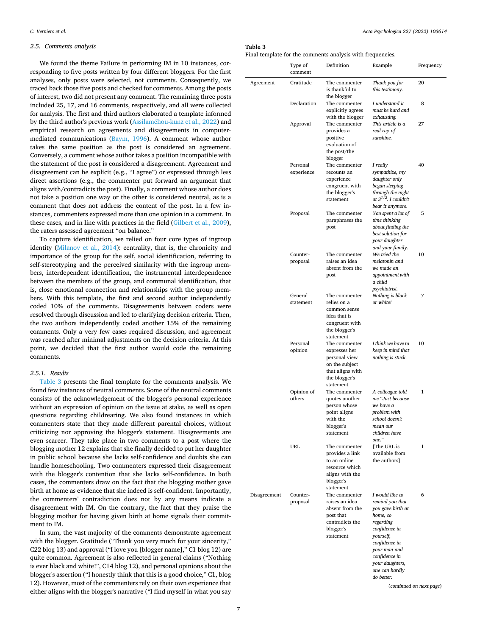# *2.5. Comments analysis*

We found the theme Failure in performing IM in 10 instances, corresponding to five posts written by four different bloggers. For the first analyses, only posts were selected, not comments. Consequently, we traced back those five posts and checked for comments. Among the posts of interest, two did not present any comment. The remaining three posts included 25, 17, and 16 comments, respectively, and all were collected for analysis. The first and third authors elaborated a template informed by the third author's previous work (Assilaméhou-kunz et al., 2022) and empirical research on agreements and disagreements in computermediated communications (Baym, 1996). A comment whose author takes the same position as the post is considered an agreement. Conversely, a comment whose author takes a position incompatible with the statement of the post is considered a disagreement. Agreement and disagreement can be explicit (e.g., "I agree") or expressed through less direct assertions (e.g., the commenter put forward an argument that aligns with/contradicts the post). Finally, a comment whose author does not take a position one way or the other is considered neutral, as is a comment that does not address the content of the post. In a few instances, commenters expressed more than one opinion in a comment. In these cases, and in line with practices in the field (Gilbert et al., 2009), the raters assessed agreement "on balance."

To capture identification, we relied on four core types of ingroup identity (Milanov et al., 2014): centrality, that is, the chronicity and importance of the group for the self, social identification, referring to self-stereotyping and the perceived similarity with the ingroup members, interdependent identification, the instrumental interdependence between the members of the group, and communal identification, that is, close emotional connection and relationships with the group members. With this template, the first and second author independently coded 10% of the comments. Disagreements between coders were resolved through discussion and led to clarifying decision criteria. Then, the two authors independently coded another 15% of the remaining comments. Only a very few cases required discussion, and agreement was reached after minimal adjustments on the decision criteria. At this point, we decided that the first author would code the remaining comments.

# *2.5.1. Results*

Table 3 presents the final template for the comments analysis. We found few instances of neutral comments. Some of the neutral comments consists of the acknowledgement of the blogger's personal experience without an expression of opinion on the issue at stake, as well as open questions regarding childrearing. We also found instances in which commenters state that they made different parental choices, without criticizing nor approving the blogger's statement. Disagreements are even scarcer. They take place in two comments to a post where the blogging mother 12 explains that she finally decided to put her daughter in public school because she lacks self-confidence and doubts she can handle homeschooling. Two commenters expressed their disagreement with the blogger's contention that she lacks self-confidence. In both cases, the commenters draw on the fact that the blogging mother gave birth at home as evidence that she indeed is self-confident. Importantly, the commenters' contradiction does not by any means indicate a disagreement with IM. On the contrary, the fact that they praise the blogging mother for having given birth at home signals their commitment to IM.

In sum, the vast majority of the comments demonstrate agreement with the blogger. Gratitude ("Thank you very much for your sincerity," C22 blog 13) and approval ("I love you [blogger name]," C1 blog 12) are quite common. Agreement is also reflected in general claims ("Nothing is ever black and white!", C14 blog 12), and personal opinions about the blogger's assertion ("I honestly think that this is a good choice," C1, blog 12). However, most of the commenters rely on their own experience that either aligns with the blogger's narrative ("I find myself in what you say

# **Table 3**

Final template for the comments analysis with frequencies.

|              | Type of<br>comment     | Definition                                                                                                          | Example                                                                                                                                                                                                                          | Frequency    |  |
|--------------|------------------------|---------------------------------------------------------------------------------------------------------------------|----------------------------------------------------------------------------------------------------------------------------------------------------------------------------------------------------------------------------------|--------------|--|
| Agreement    | Gratitude              | The commenter<br>is thankful to<br>the blogger                                                                      | Thank you for<br>this testimony.                                                                                                                                                                                                 | 20           |  |
|              | Declaration            | The commenter<br>explicitly agrees<br>with the blogger                                                              | I understand it<br>must be hard and<br>exhausting.                                                                                                                                                                               | 8            |  |
|              | Approval               | The commenter<br>provides a<br>positive<br>evaluation of<br>the post/the<br>blogger                                 | This article is a<br>real ray of<br>sunshine.                                                                                                                                                                                    | 27           |  |
|              | Personal<br>experience | The commenter<br>recounts an<br>experience<br>congruent with<br>the blogger's<br>statement                          | I really<br>sympathize, my<br>daughter only<br>began sleeping<br>through the night<br>at $3^{1/2}$ . I couldn't<br>bear it anymore.                                                                                              | 40           |  |
|              | Proposal               | The commenter<br>paraphrases the<br>post                                                                            | You spent a lot of<br>time thinking<br>about finding the<br>best solution for<br>your daughter<br>and your family.                                                                                                               | 5            |  |
|              | Counter-<br>proposal   | The commenter<br>raises an idea<br>absent from the<br>post                                                          | We tried the<br>melatonin and<br>we made an<br>appointment with<br>a child<br>psychiatrist.                                                                                                                                      | 10           |  |
|              | General<br>statement   | The commenter<br>relies on a<br>common sense<br>idea that is<br>congruent with<br>the blogger's<br>statement        | Nothing is black<br>or white!                                                                                                                                                                                                    | 7            |  |
|              | Personal<br>opinion    | The commenter<br>expresses her<br>personal view<br>on the subject<br>that aligns with<br>the blogger's<br>statement | I think we have to<br>keep in mind that<br>nothing is stuck.                                                                                                                                                                     | 10           |  |
|              | Opinion of<br>others   | The commenter<br>quotes another<br>person whose<br>point aligns<br>with the<br>blogger's<br>statement               | A colleague told<br>me "Just because<br>we have a<br>problem with<br>school doesn't<br>mean our<br>children have<br>one."                                                                                                        | $\mathbf{1}$ |  |
|              | <b>URL</b>             | The commenter<br>provides a link<br>to an online<br>resource which<br>aligns with the<br>blogger's<br>statement     | [The URL is<br>available from<br>the authors]                                                                                                                                                                                    | 1            |  |
| Disagreement | Counter-<br>proposal   | The commenter<br>raises an idea<br>absent from the<br>post that<br>contradicts the<br>blogger's<br>statement        | I would like to<br>remind you that<br>you gave birth at<br>home, so<br>regarding<br>confidence in<br>yourself,<br>confidence in<br>your man and<br>confidence in<br>your daughters,<br>one can hardly<br>do better.<br>Continued | 6            |  |

(*continued on next page*)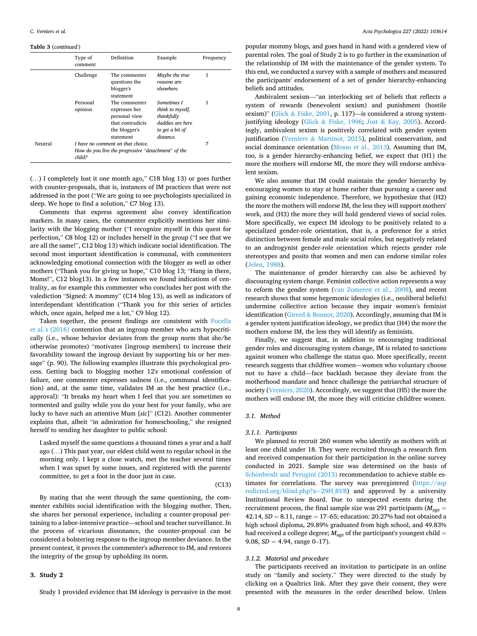#### **Table 3** (*continued* )

|         | Type of<br>comment  | Definition                                                                                        | Example                                                                                           | Frequency |  |
|---------|---------------------|---------------------------------------------------------------------------------------------------|---------------------------------------------------------------------------------------------------|-----------|--|
|         | Challenge           | The commenter<br>questions the<br>blogger's<br>statement                                          | Maybe the true<br>reasons are<br>elsewhere.                                                       | 1         |  |
|         | Personal<br>opinion | The commenter<br>expresses her<br>personal view<br>that contradicts<br>the blogger's<br>statement | Sometimes I<br>think to myself.<br>thankfully<br>daddies are here<br>to get a bit of<br>distance. | 1         |  |
| Neutral | child?              | I have no comment on that choice.<br>How do you live the progressive "detachment" of the          |                                                                                                   |           |  |

(…) I completely lost it one month ago," C18 blog 13) or goes further with counter-proposals, that is, instances of IM practices that were not addressed in the post ("We are going to see psychologists specialized in sleep. We hope to find a solution," C7 blog 13).

Comments that express agreement also convey identification markers. In many cases, the commenter explicitly mentions her similarity with the blogging mother ("I recognize myself in this quest for perfection," C8 blog 12) or includes herself in the group ("I see that we are all the same!", C12 blog 13) which indicate social identification. The second most important identification is communal, with commenters acknowledging emotional connection with the blogger as well as other mothers ("Thank you for giving us hope," C10 blog 13; "Hang in there, Moms!", C12 blog13). In a few instances we found indications of centrality, as for example this commenter who concludes her post with the valediction "Signed: A mommy" (C14 blog 13), as well as indicators of interdependant identification ("Thank you for this series of articles which, once again, helped me a lot," C9 blog 12).

Taken together, the present findings are consistent with Focella et al.'s (2016) contention that an ingroup member who acts hypocritically (i.e., whose behavior deviates from the group norm that she/he otherwise promotes) "motivates [ingroup members] to increase their favorability toward the ingroup deviant by supporting his or her message" (p. 90). The following examples illustrate this psychological process. Getting back to blogging mother 12's emotional confession of failure, one commenter expresses sadness (i.e., communal identification) and, at the same time, validates IM as the best practice (i.e., approval): "It breaks my heart when I feel that you are sometimes so tormented and guilty while you do your best for your family, who are lucky to have such an attentive Mum [*sic*]" (C12). Another commenter explains that, albeit "in admiration for homeschooling," she resigned herself to sending her daughter to public school:

I asked myself the same questions a thousand times a year and a half ago (…) This past year, our eldest child went to regular school in the morning only. I kept a close watch, met the teacher several times when I was upset by some issues, and registered with the parents' committee, to get a foot in the door just in case.

#### (C13)

By stating that she went through the same questioning, the commenter exhibits social identification with the blogging mother. Then, she shares her personal experience, including a counter-proposal pertaining to a labor-intensive practice—school and teacher surveillance. In the process of vicarious dissonance, the counter-proposal can be considered a bolstering response to the ingroup member deviance. In the present context, it proves the commenter's adherence to IM, and restores the integrity of the group by upholding its norm.

# **3. Study 2**

Study 1 provided evidence that IM ideology is pervasive in the most

popular mommy blogs, and goes hand in hand with a gendered view of parental roles. The goal of Study 2 is to go further in the examination of the relationship of IM with the maintenance of the gender system. To this end, we conducted a survey with a sample of mothers and measured the participants' endorsement of a set of gender hierarchy-enhancing beliefs and attitudes.

Ambivalent sexism—"an interlocking set of beliefs that reflects a system of rewards (benevolent sexism) and punishment (hostile sexism)" (Glick & Fiske, 2001, p. 117)-is considered a strong systemjustifying ideology (Glick & Fiske, 1996; Jost & Kay, 2005). Accordingly, ambivalent sexism is positively correlated with gender system justification (Verniers & Martinot, 2015), political conservatism, and social dominance orientation (Mosso et al., 2013). Assuming that IM, too, is a gender hierarchy-enhancing belief, we expect that (H1) the more the mothers will endorse MI, the more they will endorse ambivalent sexism.

We also assume that IM could maintain the gender hierarchy by encouraging women to stay at home rather than pursuing a career and gaining economic independence. Therefore, we hypothesize that (H2) the more the mothers will endorse IM, the less they will support mothers' work, and (H3) the more they will hold gendered views of social roles. More specifically, we expect IM ideology to be positively related to a specialized gender-role orientation, that is, a preference for a strict distinction between female and male social roles, but negatively related to an androgynist gender-role orientation which rejects gender role stereotypes and posits that women and men can endorse similar roles (Jelen, 1988).

The maintenance of gender hierarchy can also be achieved by discouraging system change. Feminist collective action represents a way to reform the gender system (van Zomeren et al., 2008), and recent research shows that some hegemonic ideologies (i.e., neoliberal beliefs) undermine collective action because they impair women's feminist identification (Girerd & Bonnot, 2020). Accordingly, assuming that IM is a gender system justification ideology, we predict that (H4) the more the mothers endorse IM, the less they will identify as feminists.

Finally, we suggest that, in addition to encouraging traditional gender roles and discouraging system change, IM is related to sanctions against women who challenge the status quo. More specifically, recent research suggests that childfree women—women who voluntary choose not to have a child—face backlash because they deviate from the motherhood mandate and hence challenge the patriarchal structure of society (Verniers, 2020). Accordingly, we suggest that (H5) the more the mothers will endorse IM, the more they will criticize childfree women.

# *3.1. Method*

# *3.1.1. Participants*

We planned to recruit 260 women who identify as mothers with at least one child under 18. They were recruited through a research firm and received compensation for their participation in the online survey conducted in 2021. Sample size was determined on the basis of Schönbrodt and Perugini (2013) recommendation to achieve stable estimates for correlations. The survey was preregistered [\(https://asp](https://aspredicted.org/blind.php?x=29H_8VB)  [redicted.org/blind.php?x](https://aspredicted.org/blind.php?x=29H_8VB)=29H\_8VB) and approved by a university Institutional Review Board. Due to unexpected events during the recruitment process, the final sample size was 291 participants ( $M_{\text{age}} =$ 42.14, *SD* = 8.11, range = 17–65; education: 20.27% had not obtained a high school diploma, 29.89% graduated from high school, and 49.83% had received a college degree;  $M_{\text{age}}$  of the participant's youngest child  $=$ 9.08, *SD* = 4.94, range 0–17).

# *3.1.2. Material and procedure*

The participants received an invitation to participate in an online study on "family and society." They were directed to the study by clicking on a Qualtrics link. After they gave their consent, they were presented with the measures in the order described below. Unless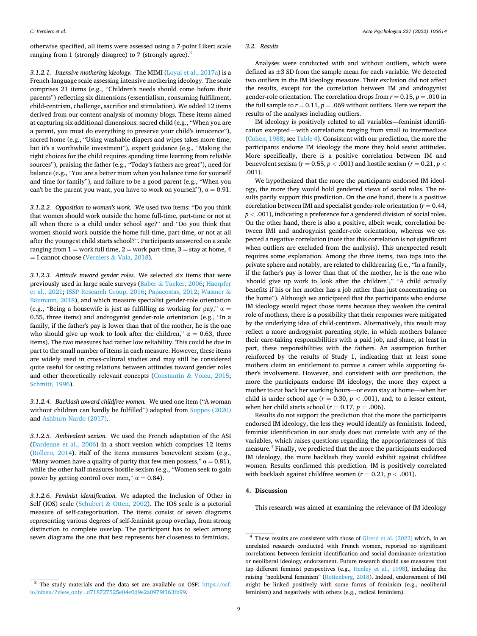otherwise specified, all items were assessed using a 7-point Likert scale ranging from 1 (strongly disagree) to 7 (strongly agree).<sup>3</sup>

*3.1.2.1. Intensive mothering ideology.* The MIMI (Loyal et al., 2017a) is a French-language scale assessing intensive mothering ideology. The scale comprises 21 items (e.g., "Children's needs should come before their parents") reflecting six dimensions (essentialism, consuming fulfillment, child-centrism, challenge, sacrifice and stimulation). We added 12 items derived from our content analysis of mommy blogs. These items aimed at capturing six additional dimensions: sacred child (e.g., "When you are a parent, you must do everything to preserve your child's innocence"), sacred home (e.g., "Using washable diapers and wipes takes more time, but it's a worthwhile investment"), expert guidance (e.g., "Making the right choices for the child requires spending time learning from reliable sources"), praising the father (e.g., "Today's fathers are great"), need for balance (e.g., "You are a better mom when you balance time for yourself and time for family"), and failure to be a good parent (e.g., "When you can't be the parent you want, you have to work on yourself"),  $\alpha = 0.91$ .

*3.1.2.2. Opposition to women's work.* We used two items: "Do you think that women should work outside the home full-time, part-time or not at all when there is a child under school age?" and "Do you think that women should work outside the home full-time, part-time, or not at all after the youngest child starts school?". Participants answered on a scale ranging from  $1 =$  work full time,  $2 =$  work part-time,  $3 =$  stay at home, 4  $=$  I cannot choose (Verniers & Vala, 2018).

*3.1.2.3. Attitude toward gender roles.* We selected six items that were previously used in large scale surveys (Baber & Tucker, 2006; Haerpfer et al., 2021; ISSP Research Group, 2016; Papacostas, 2012; Wasmer & Baumann, 2018), and which measure specialist gender-role orientation (e.g., "Being a housewife is just as fulfilling as working for pay,"  $\alpha$  = 0.55, three items) and androgynist gender-role orientation (e.g., "In a family, if the father's pay is lower than that of the mother, he is the one who should give up work to look after the children,"  $\alpha = 0.63$ , three items). The two measures had rather low reliability. This could be due in part to the small number of items in each measure. However, these items are widely used in cross-cultural studies and may still be considered quite useful for testing relations between attitudes toward gender roles and other theoretically relevant concepts (Constantin & Voicu, 2015; Schmitt, 1996).

*3.1.2.4. Backlash toward childfree women.* We used one item ("A woman without children can hardly be fulfilled") adapted from Suppes (2020) and Ashburn-Nardo (2017).

*3.1.2.5. Ambivalent sexism.* We used the French adaptation of the ASI (Dardenne et al., 2006) in a short version which comprises 12 items (Rollero, 2014). Half of the items measures benevolent sexism (e.g., "Many women have a quality of purity that few men possess,"  $\alpha = 0.81$ ), while the other half measures hostile sexism (e.g., "Women seek to gain power by getting control over men,"  $\alpha = 0.84$ ).

*3.1.2.6. Feminist identification.* We adapted the Inclusion of Other in Self (IOS) scale (Schubert & Otten, 2002). The IOS scale is a pictorial measure of self-categorization. The items consist of seven diagrams representing various degrees of self-feminist group overlap, from strong distinction to complete overlap. The participant has to select among seven diagrams the one that best represents her closeness to feminists.

# *3.2. Results*

Analyses were conducted with and without outliers, which were defined as ±3 SD from the sample mean for each variable. We detected two outliers in the IM ideology measure. Their exclusion did not affect the results, except for the correlation between IM and androgynist gender-role orientation. The correlation drops from  $r = 0.15$ ,  $p = .010$  in the full sample to  $r = 0.11$ ,  $p = .069$  without outliers. Here we report the results of the analyses including outliers.

IM ideology is positively related to all variables—feminist identification excepted—with correlations ranging from small to intermediate (Cohen, 1988; see Table 4). Consistent with our prediction, the more the participants endorse IM ideology the more they hold sexist attitudes. More specifically, there is a positive correlation between IM and benevolent sexism ( $r = 0.55$ ,  $p < .001$ ) and hostile sexism ( $r = 0.21$ ,  $p <$ .001).

We hypothesized that the more the participants endorsed IM ideology, the more they would hold gendered views of social roles. The results partly support this prediction. On the one hand, there is a positive correlation between IMI and specialist gender-role orientation  $(r = 0.44,$ *p <* .001), indicating a preference for a gendered division of social roles. On the other hand, there is also a positive, albeit weak, correlation between IMI and androgynist gender-role orientation, whereas we expected a negative correlation (note that this correlation is not significant when outliers are excluded from the analysis). This unexpected result requires some explanation. Among the three items, two taps into the private sphere and notably, are related to childrearing (i.e., "In a family, if the father's pay is lower than that of the mother, he is the one who 'should give up work to look after the children'," "A child actually benefits if his or her mother has a job rather than just concentrating on the home"). Although we anticipated that the participants who endorse IM ideology would reject those items because they weaken the central role of mothers, there is a possibility that their responses were mitigated by the underlying idea of child-centrism. Alternatively, this result may reflect a more androgynist parenting style, in which mothers balance their care-taking responsibilities with a paid job, and share, at least in part, these responsibilities with the fathers. An assumption further reinforced by the results of Study 1, indicating that at least some mothers claim an entitlement to pursue a career while supporting father's involvement. However, and consistent with our prediction, the more the participants endorse IM ideology, the more they expect a mother to cut back her working hours—or even stay at home—when her child is under school age ( $r = 0.30$ ,  $p < .001$ ), and, to a lesser extent, when her child starts school ( $r = 0.17$ ,  $p = .006$ ).

Results do not support the prediction that the more the participants endorsed IM ideology, the less they would identify as feminists. Indeed, feminist identification in our study does not correlate with any of the variables, which raises questions regarding the appropriateness of this measure.4 Finally, we predicted that the more the participants endorsed IM ideology, the more backlash they would exhibit against childfree women. Results confirmed this prediction. IM is positively correlated with backlash against childfree women  $(r = 0.21, p < .001)$ .

#### **4. Discussion**

This research was aimed at examining the relevance of IM ideology

 $^3$  The study materials and the data set are available on OSF: https://osf. io/nfzeu/?view\_only=[d718727525e04e0d9e2a0979f163fb99](https://osf.io/nfzeu/?view_only=d718727525e04e0d9e2a0979f163fb99).

<sup>4</sup> These results are consistent with those of Girerd et al. (2022) which, in an unrelated research conducted with French women, reported no significant correlations between feminist identification and social dominance orientation or neoliberal ideology endorsement. Future research should use measures that tap different feminist perspectives (e.g., Henley et al., 1998), including the raising "neoliberal feminism" (Rottenberg, 2018). Indeed, endorsement of IMI might be linked positively with some forms of feminism (e.g., neoliberal feminism) and negatively with others (e.g., radical feminism).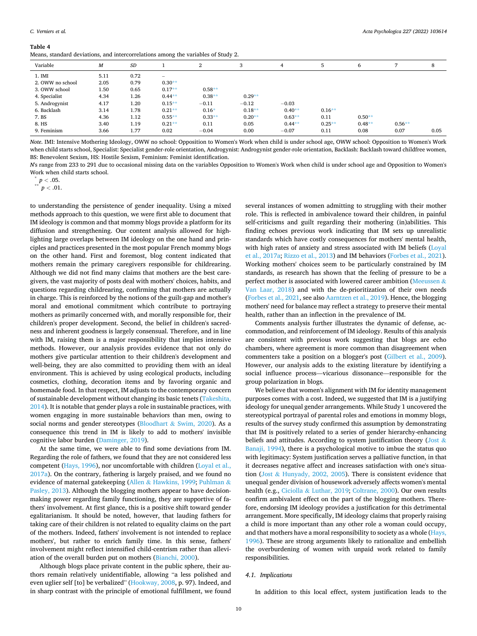Means, standard deviations, and intercorrelations among the variables of Study 2.

|                  |      |      | $\checkmark$                    |          |          |          |          |          |          |      |
|------------------|------|------|---------------------------------|----------|----------|----------|----------|----------|----------|------|
| Variable         | M    | SD   |                                 | ∠        | 3        | 4        | ь        | 6        |          | 8    |
| 1. IMI           | 5.11 | 0.72 | $\hspace{0.1mm}-\hspace{0.1mm}$ |          |          |          |          |          |          |      |
| 2. OWW no school | 2.05 | 0.79 | $0.30**$                        |          |          |          |          |          |          |      |
| 3. OWW school    | 1.50 | 0.65 | $0.17**$                        | $0.58**$ |          |          |          |          |          |      |
| 4. Specialist    | 4.34 | 1.26 | $0.44**$                        | $0.38**$ | $0.29**$ |          |          |          |          |      |
| 5. Androgynist   | 4.17 | 1.20 | $0.15**$                        | $-0.11$  | $-0.12$  | $-0.03$  |          |          |          |      |
| 6. Backlash      | 3.14 | 1.78 | $0.21**$                        | $0.16*$  | $0.18**$ | $0.40**$ | $0.16**$ |          |          |      |
| 7. BS            | 4.36 | 1.12 | $0.55**$                        | $0.33**$ | $0.20**$ | $0.63**$ | 0.11     | $0.50**$ |          |      |
| 8. HS            | 3.40 | 1.19 | $0.21**$                        | 0.11     | 0.05     | $0.44**$ | $0.25**$ | $0.48**$ | $0.56**$ |      |
| 9. Feminism      | 3.66 | 1.77 | 0.02                            | $-0.04$  | 0.00     | $-0.07$  | 0.11     | 0.08     | 0.07     | 0.05 |

*Note*. IMI: Intensive Mothering Ideology, OWW no school: Opposition to Women's Work when child is under school age, OWW school: Opposition to Women's Work when child starts school, Specialist: Specialist gender-role orientation, Androgynist: Androgynist gender-role orientation, Backlash: Backlash toward childfree women, BS: Benevolent Sexism, HS: Hostile Sexism, Feminism: Feminist identification.

*N*'s range from 233 to 291 due to occasional missing data on the variables Opposition to Women's Work when child is under school age and Opposition to Women's Work when child starts school.<br>  $p < .05$ .<br>
\*\*  $p < .01$ .

to understanding the persistence of gender inequality. Using a mixed methods approach to this question, we were first able to document that IM ideology is common and that mommy blogs provide a platform for its diffusion and strengthening. Our content analysis allowed for highlighting large overlaps between IM ideology on the one hand and principles and practices presented in the most popular French mommy blogs on the other hand. First and foremost, blog content indicated that mothers remain the primary caregivers responsible for childrearing. Although we did not find many claims that mothers are the best caregivers, the vast majority of posts deal with mothers' choices, habits, and questions regarding childrearing, confirming that mothers are actually in charge. This is reinforced by the notions of the guilt-gap and mother's moral and emotional commitment which contribute to portraying mothers as primarily concerned with, and morally responsible for, their children's proper development. Second, the belief in children's sacredness and inherent goodness is largely consensual. Therefore, and in line with IM, raising them is a major responsibility that implies intensive methods. However, our analysis provides evidence that not only do mothers give particular attention to their children's development and well-being, they are also committed to providing them with an ideal environment. This is achieved by using ecological products, including cosmetics, clothing, decoration items and by favoring organic and homemade food. In that respect, IM adjusts to the contemporary concern of sustainable development without changing its basic tenets (Takeshita, 2014). It is notable that gender plays a role in sustainable practices, with women engaging in more sustainable behaviors than men, owing to social norms and gender stereotypes (Bloodhart & Swim, 2020). As a consequence this trend in IM is likely to add to mothers' invisible cognitive labor burden (Daminger, 2019).

At the same time, we were able to find some deviations from IM. Regarding the role of fathers, we found that they are not considered less competent (Hays, 1996), nor uncomfortable with children (Loyal et al., 2017a). On the contrary, fathering is largely praised, and we found no evidence of maternal gatekeeping (Allen & Hawkins, 1999; Puhlman & Pasley, 2013). Although the blogging mothers appear to have decisionmaking power regarding family functioning, they are supportive of fathers' involvement. At first glance, this is a positive shift toward gender egalitarianism. It should be noted, however, that lauding fathers for taking care of their children is not related to equality claims on the part of the mothers. Indeed, fathers' involvement is not intended to replace mothers', but rather to enrich family time. In this sense, fathers' involvement might reflect intensified child-centrism rather than alleviation of the overall burden put on mothers (Bianchi, 2000).

Although blogs place private content in the public sphere, their authors remain relatively unidentifiable, allowing "a less polished and even uglier self [to] be verbalized" (Hookway, 2008, p. 97). Indeed, and in sharp contrast with the principle of emotional fulfillment, we found

several instances of women admitting to struggling with their mother role. This is reflected in ambivalence toward their children, in painful self-criticisms and guilt regarding their mothering (in)abilities. This finding echoes previous work indicating that IM sets up unrealistic standards which have costly consequences for mothers' mental health, with high rates of anxiety and stress associated with IM beliefs (Loyal et al., 2017a; Rizzo et al., 2013) and IM behaviors (Forbes et al., 2021). Working mothers' choices seem to be particularly constrained by IM standards, as research has shown that the feeling of pressure to be a perfect mother is associated with lowered career ambition (Meeussen  $\&$ Van Laar, 2018) and with the de-prioritization of their own needs (Forbes et al., 2021, see also Aarntzen et al., 2019). Hence, the blogging mothers' need for balance may reflect a strategy to preserve their mental health, rather than an inflection in the prevalence of IM.

Comments analysis further illustrates the dynamic of defense, accommodation, and reinforcement of IM ideology. Results of this analysis are consistent with previous work suggesting that blogs are echo chambers, where agreement is more common than disagreement when commenters take a position on a blogger's post (Gilbert et al., 2009). However, our analysis adds to the existing literature by identifying a social influence process—vicarious dissonance—responsible for the group polarization in blogs.

We believe that women's alignment with IM for identity management purposes comes with a cost. Indeed, we suggested that IM is a justifying ideology for unequal gender arrangements. While Study 1 uncovered the stereotypical portrayal of parental roles and emotions in mommy blogs, results of the survey study confirmed this assumption by demonstrating that IM is positively related to a series of gender hierarchy-enhancing beliefs and attitudes. According to system justification theory (Jost  $\&$ Banaji, 1994), there is a psychological motive to imbue the status quo with legitimacy: System justification serves a palliative function, in that it decreases negative affect and increases satisfaction with one's situation (Jost & Hunyady, 2002, 2005). There is consistent evidence that unequal gender division of housework adversely affects women's mental health (e.g., Ciciolla & Luthar, 2019; Coltrane, 2000). Our own results confirm ambivalent effect on the part of the blogging mothers. Therefore, endorsing IM ideology provides a justification for this detrimental arrangement. More specifically, IM ideology claims that properly raising a child is more important than any other role a woman could occupy, and that mothers have a moral responsibility to society as a whole (Hays, 1996). These are strong arguments likely to rationalize and embellish the overburdening of women with unpaid work related to family responsibilities.

### *4.1. Implications*

In addition to this local effect, system justification leads to the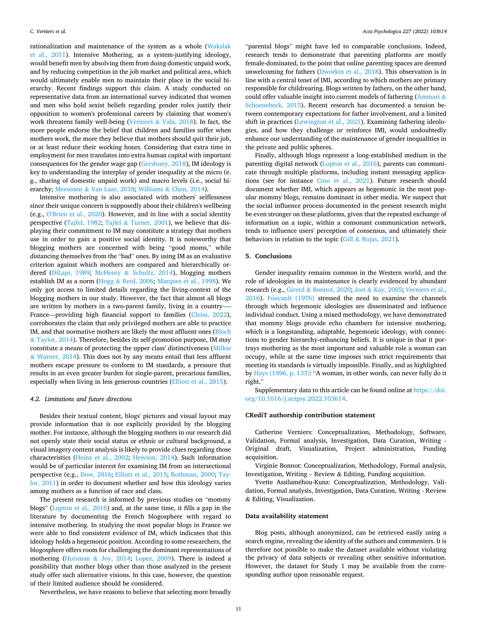rationalization and maintenance of the system as a whole (Wakslak et al., 2011). Intensive Mothering, as a system-justifying ideology, would benefit men by absolving them from doing domestic unpaid work, and by reducing competition in the job market and political area, which would ultimately enable men to maintain their place in the social hierarchy. Recent findings support this claim. A study conducted on representative data from an international survey indicated that women and men who hold sexist beliefs regarding gender roles justify their opposition to women's professional careers by claiming that women's work threatens family well-being (Verniers & Vala, 2018). In fact, the more people endorse the belief that children and families suffer when mothers work, the more they believe that mothers should quit their job, or at least reduce their working hours. Considering that extra time in employment for men translates into extra human capital with important consequences for the gender wage gap (Gershuny, 2018), IM ideology is key to understanding the interplay of gender inequality at the micro (e. g., sharing of domestic unpaid work) and macro levels (i.e., social hierarchy; Meeussen & Van Laar, 2018; Williams & Chen, 2014).

Intensive mothering is also associated with mothers' selflessness since their unique concern is supposedly about their children's wellbeing (e.g., O'Brien et al., 2020). However, and in line with a social identity perspective (Tajfel, 1982; Tajfel  $&$  Turner, 2001), we believe that displaying their commitment to IM may constitute a strategy that mothers use in order to gain a positive social identity. It is noteworthy that blogging mothers are concerned with being "good moms," while distancing themselves from the "bad" ones. By using IM as an evaluative criterion against which mothers are compared and hierarchically ordered (DiLapi, 1989; McHenry & Schultz, 2014), blogging mothers establish IM as a norm (Hogg & Reid, 2006; Marques et al., 1998). We only got access to limited details regarding the living-context of the blogging mothers in our study. However, the fact that almost all blogs are written by mothers in a two-parent family, living in a country—-France—providing high financial support to families (Cleiss, 2022), corroborates the claim that only privileged mothers are able to practice IM, and that normative mothers are likely the most affluent ones (Bloch & Taylor, 2014). Therefore, besides its self-promotion purpose, IM may constitute a means of protecting the upper class' distinctiveness (Milkie  $& Warner, 2014$ ). This does not by any means entail that less affluent mothers escape pressure to conform to IM standards, a pressure that results in an even greater burden for single-parent, precarious families, especially when living in less generous countries (Elliott et al., 2015).

#### *4.2. Limitations and future directions*

Besides their textual content, blogs' pictures and visual layout may provide information that is not explicitly provided by the blogging mother. For instance, although the blogging mothers in our research did not openly state their social status or ethnic or cultural background, a visual imagery content analysis is likely to provide clues regarding those characteristics (Heinz et al., 2002; Hewson, 2014). Such information would be of particular interest for examining IM from an intersectional perspective (e.g., Dow, 2016; Elliott et al., 2015; Rothman, 2000; Taylor, 2011) in order to document whether and how this ideology varies among mothers as a function of race and class.

The present research is informed by previous studies on "mommy blogs" (Lupton et al., 2016) and, at the same time, it fills a gap in the literature by documenting the French blogosphere with regard to intensive mothering. In studying the most popular blogs in France we were able to find consistent evidence of IM, which indicates that this ideology holds a hegemonic position. According to some researchers, the blogosphere offers room for challenging the dominant representations of mothering (Huisman & Joy, 2014; Lopez, 2009). There is indeed a possibility that mother blogs other than those analyzed in the present study offer such alternative visions. In this case, however, the question of their limited audience should be considered.

"parental blogs" might have led to comparable conclusions. Indeed, research tends to demonstrate that parenting platforms are mostly female-dominated, to the point that online parenting spaces are deemed unwelcoming for fathers (Dworkin et al., 2018). This observation is in line with a central tenet of IMI, according to which mothers are primary responsible for childrearing. Blogs written by fathers, on the other hand, could offer valuable insight into current models of fathering (Ammari & Schoenebeck, 2015). Recent research has documented a tension between contemporary expectations for father involvement, and a limited shift in practices (Lewington et al., 2021). Examining fathering ideologies, and how they challenge or reinforce IMI, would undoubtedly enhance our understanding of the maintenance of gender inequalities in the private and public spheres.

Finally, although blogs represent a long-established medium in the parenting digital network (Lupton et al., 2016), parents can communicate through multiple platforms, including instant messaging applications (see for instance Cino et al., 2021). Future research should document whether IMI, which appears as hegemonic in the most popular mommy blogs, remains dominant in other media. We suspect that the social influence process documented in the present research might be even stronger on these platforms, given that the repeated exchange of information on a topic, within a consonant communication network, tends to influence users' perception of consensus, and ultimately their behaviors in relation to the topic (Gill & Rojas, 2021).

# **5. Conclusions**

Gender inequality remains common in the Western world, and the role of ideologies in its maintenance is clearly evidenced by abundant research (e.g., Girerd & Bonnot, 2020; Jost & Kay, 2005; Verniers et al., 2016). Foucault (1976) stressed the need to examine the channels through which hegemonic ideologies are disseminated and influence individual conduct. Using a mixed methodology, we have demonstrated that mommy blogs provide echo chambers for intensive mothering, which is a longstanding, adaptable, hegemonic ideology, with connections to gender hierarchy-enhancing beliefs. It is unique in that it portrays mothering as the most important and valuable role a woman can occupy, while at the same time imposes such strict requirements that meeting its standards is virtually impossible. Finally, and as highlighted by Hays (1996, p. 133): "A woman, in other words, can never fully do it right."

Supplementary data to this article can be found online at [https://doi.](https://doi.org/10.1016/j.actpsy.2022.103614)  [org/10.1016/j.actpsy.2022.103614](https://doi.org/10.1016/j.actpsy.2022.103614).

# **CRediT authorship contribution statement**

Catherine Verniers: Conceptualization, Methodology, Software, Validation, Formal analysis, Investigation, Data Curation, Writing - Original draft, Visualization, Project administration, Funding acquisition.

Virginie Bonnot: Conceptualization, Methodology, Formal analysis, Investigation, Writing – Review & Editing, Funding acquisition.

Yvette Assilaméhou-Kunz: Conceptualization, Methodology, Validation, Formal analysis, Investigation, Data Curation, Writing - Review & Editing, Visualization.

#### **Data availability statement**

Blog posts, although anonymized, can be retrieved easily using a search engine, revealing the identity of the authors and commenters. It is therefore not possible to make the dataset available without violating the privacy of data subjects or revealing other sensitive information. However, the dataset for Study 1 may be available from the corresponding author upon reasonable request.

Nevertheless, we have reasons to believe that selecting more broadly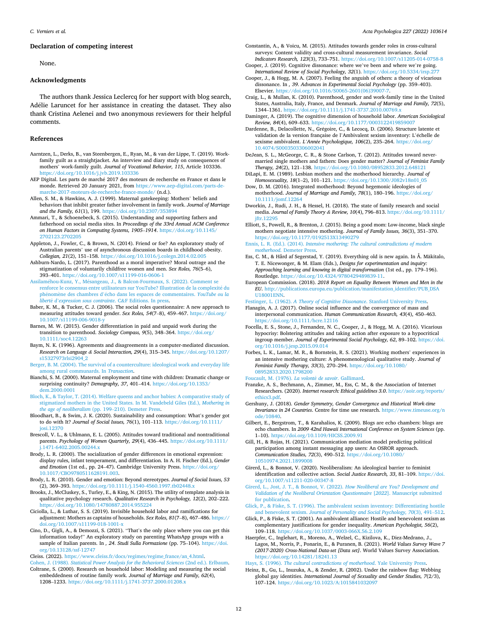#### **Declaration of competing interest**

None.

# **Acknowledgments**

The authors thank Jessica Leclercq for her support with blog search, Adélie Laruncet for her assistance in creating the dataset. They also thank Cristina Aelenei and two anonymous reviewers for their helpful comments.

#### **References**

- Aarntzen, L., Derks, B., van Steenbergen, E., Ryan, M., & van der Lippe, T. (2019). Workfamily guilt as a straightjacket. An interview and diary study on consequences of mothers' work-family guilt. *Journal of Vocational Behavior, 115*, Article 103336. <https://doi.org/10.1016/j.jvb.2019.103336>
- AEP Digital. Les parts de marché 2017 des moteurs de recherche en France et dans le monde. Retrieved 20 January 2021, from [https://www.aep-digital.com/parts-de](https://www.aep-digital.com/parts-de-marche-2017-moteurs-de-recherche-france-monde/)[marche-2017-moteurs-de-recherche-france-monde/](https://www.aep-digital.com/parts-de-marche-2017-moteurs-de-recherche-france-monde/) (n.d.).
- Allen, S. M., & Hawkins, A. J. (1999). Maternal gatekeeping: Mothers' beliefs and behaviors that inhibit greater father involvement in family work. *Journal of Marriage and the Family, 61*(1), 199. <https://doi.org/10.2307/353894>
- Ammari, T., & Schoenebeck, S. (2015). Understanding and supporting fathers and fatherhood on social media sites. In *Proceedings of the 33rd Annual ACM Conference on Human Factors in Computing Systems, 1905*–*1914*. [https://doi.org/10.1145/](https://doi.org/10.1145/2702123.2702205) [2702123.2702205](https://doi.org/10.1145/2702123.2702205)
- Appleton, J., Fowler, C., & Brown, N. (2014). Friend or foe? An exploratory study of Australian parents' use of asynchronous discussion boards in childhood obesity. *Collegian, 21*(2), 151–158. <https://doi.org/10.1016/j.colegn.2014.02.005>
- Ashburn-Nardo, L. (2017). Parenthood as a moral imperative? Moral outrage and the stigmatization of voluntarily childfree women and men. *Sex Roles, 76*(5–6), 393–401. <https://doi.org/10.1007/s11199-016-0606-1>
- Assilaméhou-Kunz, Y., Mésangeau, J., & Balcon-Fourmaux, S. (2022). Comment se [renforce le consensus entre utilisateurs sur YouTube? Illustration de la complexit](http://refhub.elsevier.com/S0001-6918(22)00129-9/rf9000)é du phénomène des chambres d'écho dans les espaces de commentaires. *YouTube ou la liberté d'[expression sous contrainte](http://refhub.elsevier.com/S0001-6918(22)00129-9/rf9000)*. C&F Editions. In pres
- Baber, K. M., & Tucker, C. J. (2006). The social roles questionnaire: A new approach to measuring attitudes toward gender. *Sex Roles, 54*(7–8), 459–467. [https://doi.org/](https://doi.org/10.1007/s11199-006-9018-y)  [10.1007/s11199-006-9018-y](https://doi.org/10.1007/s11199-006-9018-y)
- Barnes, M. W. (2015). Gender differentiation in paid and unpaid work during the transition to parenthood. *Sociology Compass, 9*(5), 348–364. [https://doi.org/](https://doi.org/10.1111/soc4.12263) [10.1111/soc4.12263](https://doi.org/10.1111/soc4.12263)
- Baym, N. K. (1996). Agreements and disagreements in a computer-mediated discussion. *Research on Language & Social Interaction, 29*(4), 315–345. [https://doi.org/10.1207/](https://doi.org/10.1207/s15327973rlsi2904_2)  [s15327973rlsi2904\\_2](https://doi.org/10.1207/s15327973rlsi2904_2)
- [Berger, B. M. \(2004\). The survival of a counterculture: ideological work and everyday life](http://refhub.elsevier.com/S0001-6918(22)00129-9/rf202205092318246361)  [among rural communards. In](http://refhub.elsevier.com/S0001-6918(22)00129-9/rf202205092318246361) *Transaction*.
- Bianchi, S. M. (2000). Maternal employment and time with children: Dramatic change or surprising continuity? *Demography, 37*, 401–414. [https://doi.org/10.1353/](https://doi.org/10.1353/dem.2000.0001)  [dem.2000.0001](https://doi.org/10.1353/dem.2000.0001)
- [Bloch, K., & Taylor, T. \(2014\). Welfare queens and anchor babies: A comparative study of](http://refhub.elsevier.com/S0001-6918(22)00129-9/rf202205092318296023)  [stigmatized mothers in the United States. In M. Vandebeld Giles \(Ed.\),](http://refhub.elsevier.com/S0001-6918(22)00129-9/rf202205092318296023) *Mothering in [the age of neoliberalism](http://refhub.elsevier.com/S0001-6918(22)00129-9/rf202205092318296023)* (pp. 199–210). Demeter Press.
- Bloodhart, B., & Swim, J. K. (2020). Sustainability and consumption: What's gender got to do with It? *Journal of Social Issues, 76*(1), 101–113. [https://doi.org/10.1111/](https://doi.org/10.1111/josi.12370)  [josi.12370](https://doi.org/10.1111/josi.12370)
- Brescoll, V. L., & Uhlmann, E. L. (2005). Attitudes toward traditional and nontraditional parents. *Psychology of Women Quarterly, 29*(4), 436–445. [https://doi.org/10.1111/](https://doi.org/10.1111/j.1471-6402.2005.00244.x)   $\frac{1}{1}$ .1471-6402.2005.00244.x
- Brody, L. R. (2000). The socialization of gender differences in emotional expression: display rules, infant temperament, and differentiation. In A. H. Fischer (Ed.), *Gender*  and Emotion (1st ed., pp. 24–47). Cambridge University Press. https://doi.org/ [10.1017/CBO9780511628191.003.](https://doi.org/10.1017/CBO9780511628191.003)
- Brody, L. R. (2010). Gender and emotion: Beyond stereotypes. *Journal of Social Issues, 53*  (2), 369–393.<https://doi.org/10.1111/j.1540-4560.1997.tb02448.x>
- Brooks, J., McCluskey, S., Turley, E., & King, N. (2015). The utility of template analysis in qualitative psychology research. *Qualitative Research in Psychology, 12*(2), 202–222. <https://doi.org/10.1080/14780887.2014.955224>
- Ciciolla, L., & Luthar, S. S. (2019). Invisible household labor and ramifications for adjustment: Mothers as captains of households. *Sex Roles, 81*(7–8), 467–486. [https://](https://doi.org/10.1007/s11199-018-1001-x)  [doi.org/10.1007/s11199-018-1001-x](https://doi.org/10.1007/s11199-018-1001-x)
- Cino, D., Gigli, A., & Demozzi, S. (2021). "That's the only place where you can get this information today!" An exploratory study on parenting WhatsApp groups with a sample of Italian parents. In *, 24*. *Studi Sulla Formazione* (pp. 75–104). [https://doi.](https://doi.org/10.13128/ssf-12747) [org/10.13128/ssf-12747](https://doi.org/10.13128/ssf-12747)

Cleiss. (2022). [https://www.cleiss.fr/docs/regimes/regime\\_france/an\\_4.html.](https://www.cleiss.fr/docs/regimes/regime_france/an_4.html)

Cohen, J. (1988). *[Statistical Power Analysis for the Behavioral Sciences](http://refhub.elsevier.com/S0001-6918(22)00129-9/rf202205092318523484)* (2nd ed.). Erlbaum. Coltrane, S. (2000). Research on household labor: Modeling and measuring the social embeddedness of routine family work. *Journal of Marriage and Family, 62*(4), 1208–1233.<https://doi.org/10.1111/j.1741-3737.2000.01208.x>

- Constantin, A., & Voicu, M. (2015). Attitudes towards gender roles in cross-cultural surveys: Content validity and cross-cultural measurement invariance. *Social Indicators Research, 123*(3), 733–751.<https://doi.org/10.1007/s11205-014-0758-8>
- Cooper, J. (2019). Cognitive dissonance: where we've been and where we're going. *International Review of Social Psychology, 32*(1). <https://doi.org/10.5334/irsp.277>
- Cooper, J., & Hogg, M. A. (2007). Feeling the anguish of others: a theory of vicarious dissonance. In *, 39*. *Advances in Experimental Social Psychology* (pp. 359–403). Elsevier. [https://doi.org/10.1016/S0065-2601\(06\)39007-7](https://doi.org/10.1016/S0065-2601(06)39007-7).

Craig, L., & Mullan, K. (2010). Parenthood, gender and work-family time in the United States, Australia, Italy, France, and Denmark. *Journal of Marriage and Family, 72*(5), 1344–1361.<https://doi.org/10.1111/j.1741-3737.2010.00769.x>

- Daminger, A. (2019). The cognitive dimension of household labor. *American Sociological Review, 84*(4), 609–633. <https://doi.org/10.1177/0003122419859007>
- Dardenne, B., Delacollette, N., Grégoire, C., & Lecocq, D. (2006). Structure latente et validation de la version française de l'Ambivalent sexism inventory: L'échelle de sexisme ambivalent. *L'Année Psychologique, 106*(2), 235-264. [https://doi.org/](https://doi.org/10.4074/S0003503306002041) [10.4074/S0003503306002041](https://doi.org/10.4074/S0003503306002041)
- DeJean, S. L., McGeorge, C. R., & Stone Carlson, T. (2012). Attitudes toward nevermarried single mothers and fathers: Does gender matter? *Journal of Feminist Family Therapy, 24*(2), 121–138.<https://doi.org/10.1080/08952833.2012.648121>
- DiLapi, E. M. (1989). Lesbian mothers and the motherhood hierarchy. *Journal of Homosexuality, 18*(1–2), 101–121. [https://doi.org/10.1300/J082v18n01\\_05](https://doi.org/10.1300/J082v18n01_05)
- Dow, D. M. (2016). Integrated motherhood: Beyond hegemonic ideologies of motherhood. *Journal of Marriage and Family, 78*(1), 180–196. [https://doi.org/](https://doi.org/10.1111/jomf.12264)  [10.1111/jomf.12264](https://doi.org/10.1111/jomf.12264)
- Dworkin, J., Rudi, J. H., & Hessel, H. (2018). The state of family research and social media. *Journal of Family Theory & Review, 10*(4), 796–813. [https://doi.org/10.1111/](https://doi.org/10.1111/jftr.12295)  [jftr.12295](https://doi.org/10.1111/jftr.12295)
- Elliott, S., Powell, R., & Brenton, J. (2015). Being a good mom: Low-income, black single mothers negotiate intensive mothering. *Journal of Family Issues, 36*(3), 351–370. <https://doi.org/10.1177/0192513X13490279>

Ennis, L. R. (Ed.). (2014). *[Intensive mothering: The cultural contradictions of modern](http://refhub.elsevier.com/S0001-6918(22)00129-9/rf202205092334192537) motherhood*[. Demeter Press.](http://refhub.elsevier.com/S0001-6918(22)00129-9/rf202205092334192537)

- Ess, C. M., & Hård af Segerstad, Y. (2019). Everything old is new again. In Å. Mäkitalo, T. E. Nicewonger, & M. Elam (Eds.), *Designs for experimentation and inquiry: Approaching learning and knowing in digital transformation* (1st ed., pp. 179–196). Routledge. [https://doi.org/10.4324/9780429489839-11.](https://doi.org/10.4324/9780429489839-11)
- European Commission. (2018). *2018 Report on Equality Between Women and Men in the EU*. [http://publications.europa.eu/publication/manifestation\\_identifier/PUB\\_DSA](http://publications.europa.eu/publication/manifestation_identifier/PUB_DSAU18001ENN)  [U18001ENN.](http://publications.europa.eu/publication/manifestation_identifier/PUB_DSAU18001ENN)

Festinger, L. (1962). *[A Theory of Cognitive Dissonance](http://refhub.elsevier.com/S0001-6918(22)00129-9/rf202205092319255730)*. Stanford University Press.

Flanagin, A. J. (2017). Online social influence and the convergence of mass and interpersonal communication. *Human Communication Research, 43*(4), 450–463. <https://doi.org/10.1111/hcre.12116>

- Focella, E. S., Stone, J., Fernandez, N. C., Cooper, J., & Hogg, M. A. (2016). Vicarious hypocrisy: Bolstering attitudes and taking action after exposure to a hypocritical ingroup member. *Journal of Experimental Social Psychology, 62*, 89–102. [https://doi.](https://doi.org/10.1016/j.jesp.2015.09.014)  [org/10.1016/j.jesp.2015.09.014](https://doi.org/10.1016/j.jesp.2015.09.014)
- Forbes, L. K., Lamar, M. R., & Bornstein, R. S. (2021). Working mothers' experiences in an intensive mothering culture: A phenomenological qualitative study. *Journal of Feminist Family Therapy, 33*(3), 270–294. [https://doi.org/10.1080/](https://doi.org/10.1080/08952833.2020.1798200)  [08952833.2020.1798200](https://doi.org/10.1080/08952833.2020.1798200)

[Foucault, M. \(1976\).](http://refhub.elsevier.com/S0001-6918(22)00129-9/rf202205092319270206) *La volonté de savoir*. Gallimard.

Franzke, A. S., Bechmann, A., Zimmer, M., Ess, C. M., & the Association of Internet Researchers. (2020). *Internet research: Ethical guidelines 3.0*. [https://aoir.org/reports/](https://aoir.org/reports/ethics3.pdf)  [ethics3.pdf.](https://aoir.org/reports/ethics3.pdf)

Gershuny, J. (2018). *Gender Symmetry, Gender Convergence and Historical Work-time Invariance in 24 Countries*. Centre for time use research. [https://www.timeuse.org/n](https://www.timeuse.org/node/10840)  [ode/10840.](https://www.timeuse.org/node/10840)

- Gilbert, E., Bergstrom, T., & Karahalios, K. (2009). Blogs are echo chambers: blogs are echo chambers. In *2009 42nd Hawaii International Conference on System Sciences* (pp. 1–10). <https://doi.org/10.1109/HICSS.2009.91>
- Gill, H., & Rojas, H. (2021). Communication mediation model predicting political participation among instant messaging app users: An OSROR approach. *Communication Studies, 72*(3), 490–512. [https://doi.org/10.1080/](https://doi.org/10.1080/10510974.2021.1899008) [10510974.2021.1899008](https://doi.org/10.1080/10510974.2021.1899008)
- Girerd, L., & Bonnot, V. (2020). Neoliberalism: An ideological barrier to feminist identification and collective action. *Social Justice Research, 33*, 81–109. [https://doi.](https://doi.org/10.1007/s11211-020-00347-8)  [org/10.1007/s11211-020-00347-8](https://doi.org/10.1007/s11211-020-00347-8)
- [Girerd, L., Jost, J. T., & Bonnot, V. \(2022\).](http://refhub.elsevier.com/S0001-6918(22)00129-9/rf202205092321067089) *How Neoliberal are You? Development and [Validation of the Neoliberal Orientation Questionnaire](http://refhub.elsevier.com/S0001-6918(22)00129-9/rf202205092321067089)* [*2022*]. Manuscript submitted [for publication.](http://refhub.elsevier.com/S0001-6918(22)00129-9/rf202205092321067089)
- [Glick, P., & Fiske, S. T. \(1996\). The ambivalent sexism inventory: Differentiating hostile](http://refhub.elsevier.com/S0001-6918(22)00129-9/rf202205092347442305)  and benevolent sexism. *[Journal of Personality and Social Psychology, 70](http://refhub.elsevier.com/S0001-6918(22)00129-9/rf202205092347442305)*(3), 491–512.
- Glick, P., & Fiske, S. T. (2001). An ambivalent alliance: Hostile and benevolent sexism as complementary justifications for gender inequality. *American Psychologist, 56*(2), 109–118. <https://doi.org/10.1037/0003-066X.56.2.109>
- Haerpfer, C., Inglehart, R., Moreno, A., Welzel, C., Kizilova, K., Diez-Medrano, J., Lagos, M., Norris, P., Ponarin, E., & Puranen, B. (2021). *World Values Survey Wave 7 (2017-2020) Cross-National Data-set [Data set]*. World Values Survey Association. <https://doi.org/10.14281/18241.13>

Hays, S. (1996). *[The cultural contradictions of motherhood](http://refhub.elsevier.com/S0001-6918(22)00129-9/rf202205092321204469)*. Yale University Press.

Heinz, B., Gu, L., Inuzuka, A., & Zender, R. (2002). Under the rainbow flag: Webbing global gay identities. *International Journal of Sexuality and Gender Studies, 7*(2/3), 107–124. <https://doi.org/10.1023/A:1015841032097>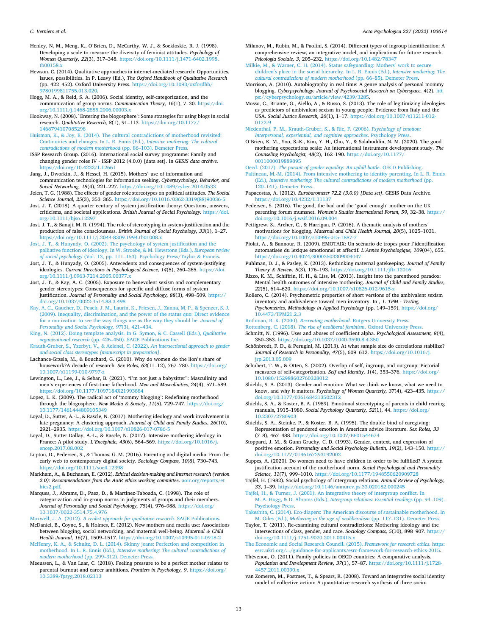*C. Verniers et al.* 

Henley, N. M., Meng, K., O'Brien, D., McCarthy, W. J., & Sockloskie, R. J. (1998). Developing a scale to measure the diversity of feminist attitudes. *Psychology of Women Quarterly, 22*(3), 317–348. [https://doi.org/10.1111/j.1471-6402.1998.](https://doi.org/10.1111/j.1471-6402.1998.tb00158.x) tb0015

- Hewson, C. (2014). Qualitative approaches in internet-mediated research: Opportunities, issues, possibilities. In P. Leavy (Ed.), *The Oxford Handbook of Qualitative Research*  (pp. 422–452). Oxford University Press. [https://doi.org/10.1093/oxfordhb/](https://doi.org/10.1093/oxfordhb/9780199811755.013.020)  [9780199811755.013.020](https://doi.org/10.1093/oxfordhb/9780199811755.013.020).
- Hogg, M. A., & Reid, S. A. (2006). Social identity, self-categorization, and the communication of group norms. *Communication Theory, 16*(1), 7–30. [https://doi.](https://doi.org/10.1111/j.1468-2885.2006.00003.x)  [org/10.1111/j.1468-2885.2006.00003.x](https://doi.org/10.1111/j.1468-2885.2006.00003.x)
- Hookway, N. (2008). `Entering the blogosphere': Some strategies for using blogs in social research. *Qualitative Research, 8*(1), 91–113. [https://doi.org/10.1177/](https://doi.org/10.1177/1468794107085298)  [1468794107085298](https://doi.org/10.1177/1468794107085298)
- [Huisman, K., & Joy, E. \(2014\). The cultural contradictions of motherhood revisited:](http://refhub.elsevier.com/S0001-6918(22)00129-9/rf202205092321356212)  [Continuities and changes. In L. R. Ennis \(Ed.\),](http://refhub.elsevier.com/S0001-6918(22)00129-9/rf202205092321356212) *Intensive mothering: The cultural [contradictions of modern motherhood](http://refhub.elsevier.com/S0001-6918(22)00129-9/rf202205092321356212)* (pp. 86–103). Demeter Press.
- ISSP Research Group. (2016). International social survey programme: Family and changing gender roles IV - ISSP 2012 (4.0.0) [data set]. In *GESIS data archive*. <https://doi.org/10.4232/1.12661>
- Jang, J., Dworkin, J., & Hessel, H. (2015). Mothers' use of information and communication technologies for information seeking. *Cyberpsychology, Behavior, and Social Networking, 18*(4), 221–227. <https://doi.org/10.1089/cyber.2014.0533> Jelen, T. G. (1988). The effects of gender role stereotypes on political attitudes. *The Social*
- *Science Journal, 25*(3), 353–365. [https://doi.org/10.1016/0362-3319\(88\)90036-5](https://doi.org/10.1016/0362-3319(88)90036-5)  Jost, J. T. (2018). A quarter century of system justification theory: Questions, answers,
- criticisms, and societal applications. *British Journal of Social Psychology*. [https://doi.](https://doi.org/10.1111/bjso.12297)  [org/10.1111/bjso.12297](https://doi.org/10.1111/bjso.12297)
- Jost, J. T., & Banaji, M. R. (1994). The role of stereotyping in system-justification and the production of false consciousness. *British Journal of Social Psychology, 33*(1), 1–27. <https://doi.org/10.1111/j.2044-8309.1994.tb01008.x>
- [Jost, J. T., & Hunyady, O. \(2002\). The psychology of system justification and the](http://refhub.elsevier.com/S0001-6918(22)00129-9/rf202205092325559871)  [palliative function of ideology. In W. Stroebe, & M. Hewstone \(Eds.\),](http://refhub.elsevier.com/S0001-6918(22)00129-9/rf202205092325559871) *European review of social psychology* (Vol. 13, pp. 111–[153\). Psychology Press/Taylor](http://refhub.elsevier.com/S0001-6918(22)00129-9/rf202205092325559871) & Francis.
- Jost, J. T., & Hunyady, O. (2005). Antecedents and consequences of system-justifying ideologies. *Current Directions in Psychological Science, 14*(5), 260–265. [https://doi.](https://doi.org/10.1111/j.0963-7214.2005.00377.x) [org/10.1111/j.0963-7214.2005.00377.x](https://doi.org/10.1111/j.0963-7214.2005.00377.x)
- Jost, J. T., & Kay, A. C. (2005). Exposure to benevolent sexism and complementary gender stereotypes: Consequences for specific and diffuse forms of system justification. *Journal of Personality and Social Psychology, 88*(3), 498–509. [https://](https://doi.org/10.1037/0022-3514.88.3.498) [doi.org/10.1037/0022-3514.88.3.498](https://doi.org/10.1037/0022-3514.88.3.498)
- [Kay, A. C., Gaucher, D., Peach, J. M., Laurin, K., Friesen, J., Zanna, M. P., & Spencer, S. J.](http://refhub.elsevier.com/S0001-6918(22)00129-9/rf202205092348127430)  [\(2009\). Inequality, discrimination, and the power of the status quo: Direct evidence](http://refhub.elsevier.com/S0001-6918(22)00129-9/rf202205092348127430)  [for a motivation to see the way things are as the way they should be.](http://refhub.elsevier.com/S0001-6918(22)00129-9/rf202205092348127430) *Journal of [Personality and Social Psychology, 97](http://refhub.elsevier.com/S0001-6918(22)00129-9/rf202205092348127430)*(3), 421–434.
- [King, N. \(2012\). Doing template analysis. In G. Symon, & C. Cassell \(Eds.\),](http://refhub.elsevier.com/S0001-6918(22)00129-9/rf202205092325587950) *Qualitative organizational research* (pp. 426–[450\). SAGE Publications Inc.](http://refhub.elsevier.com/S0001-6918(22)00129-9/rf202205092325587950)
- [Krauth-Gruber, S., Yzerbyt, V., & Aelenei, C. \(2022\).](http://refhub.elsevier.com/S0001-6918(22)00129-9/rf202205092337345909) *An intersectional approach to gender [and social class stereotypes \[manuscript in preparation\]](http://refhub.elsevier.com/S0001-6918(22)00129-9/rf202205092337345909)*.
- Lachance-Grzela, M., & Bouchard, G. (2010). Why do women do the lion's share of housework?A decade of research. *Sex Roles, 63*(11–12), 767–780. [https://doi.org/](https://doi.org/10.1007/s11199-010-9797-z)  [10.1007/s11199-010-9797-z](https://doi.org/10.1007/s11199-010-9797-z)
- Lewington, L., Lee, J., & Sebar, B. (2021). "I'm not just a babysitter": Masculinity and men's experiences of first-time fatherhood. *Men and Masculinities, 24*(4), 571–589. <https://doi.org/10.1177/1097184X21993884>
- Lopez, L. K. (2009). The radical act of 'mommy blogging': Redefining motherhood through the blogosphere. *New Media & Society, 11*(5), 729–747. [https://doi.org/](https://doi.org/10.1177/1461444809105349) [10.1177/1461444809105349](https://doi.org/10.1177/1461444809105349)
- Loyal, D., Sutter, A.-L., & Rascle, N. (2017). Mothering ideology and work involvement in late pregnancy: A clustering approach. *Journal of Child and Family Studies, 26*(10), 2921–2935.<https://doi.org/10.1007/s10826-017-0786-5>
- Loyal, D., Sutter Dallay, A.-L., & Rascle, N. (2017). Intensive mothering ideology in France: A pilot study. *L'Enc*´*ephale, 43*(6), 564–569. [https://doi.org/10.1016/j.](https://doi.org/10.1016/j.encep.2017.08.002)  [encep.2017.08.002](https://doi.org/10.1016/j.encep.2017.08.002)
- Lupton, D., Pedersen, S., & Thomas, G. M. (2016). Parenting and digital media: From the early web to contemporary digital society. *Sociology Compass, 10*(8), 730–743. <https://doi.org/10.1111/soc4.12398>
- Markham, A., & Buchanan, E. (2012). *Ethical decision-making and Internet research (version 2.0): Recommendations from the AoIR ethics working committee*. [aoir.org/reports/et](http://aoir.org/reports/ethics2.pdf)  [hics2.pdf](http://aoir.org/reports/ethics2.pdf)
- Marques, J., Abrams, D., Paez, D., & Martinez-Taboada, C. (1998). The role of categorization and in-group norms in judgments of groups and their members. *Journal of Personality and Social Psychology, 75*(4), 976–988. [https://doi.org/](https://doi.org/10.1037/0022-3514.75.4.976) [10.1037/0022-3514.75.4.976](https://doi.org/10.1037/0022-3514.75.4.976)
- Maxwell, J. A. (2012). *[A realist approach for qualitative research](http://refhub.elsevier.com/S0001-6918(22)00129-9/rf202205092326251297)*. SAGE Publications. McDaniel, B., Coyne, S., & Holmes, E. (2012). New mothers and media use: Associations between blogging, social networking, and maternal well-being. *Maternal & Child Health Journal, 16*(7), 1509–1517. <https://doi.org/10.1007/s10995-011-0918-2>
- [McHenry, K. A., & Schultz, D. L. \(2014\). Skinny jeans: Perfection and competition in](http://refhub.elsevier.com/S0001-6918(22)00129-9/rf202205092326338727)  motherhood. In L. R. Ennis (Ed.), *[Intensive mothering: The cultural contradictions of](http://refhub.elsevier.com/S0001-6918(22)00129-9/rf202205092326338727)  modern motherhood* (pp. 299–[312\). Demeter Press](http://refhub.elsevier.com/S0001-6918(22)00129-9/rf202205092326338727).
- Meeussen, L., & Van Laar, C. (2018). Feeling pressure to be a perfect mother relates to parental burnout and career ambitions. *Frontiers in Psychology, 9*. [https://doi.org/](https://doi.org/10.3389/fpsyg.2018.02113) [10.3389/fpsyg.2018.02113](https://doi.org/10.3389/fpsyg.2018.02113)
- Milanov, M., Rubin, M., & Paolini, S. (2014). Different types of ingroup identification: A comprehensive review, an integrative model, and implications for future research. *Psicologia Sociale, 3*, 205–232. <https://doi.org/10.1482/78347>
- [Milkie, M., & Warner, C. H. \(2014\). Status safeguarding: Mothers](http://refhub.elsevier.com/S0001-6918(22)00129-9/rf202205092339509113)′ work to secure children′ [s place in the social hierarchy. In L. R. Ennis \(Ed.\),](http://refhub.elsevier.com/S0001-6918(22)00129-9/rf202205092339509113) *Intensive mothering: The [cultural contradictions of modern motherhood](http://refhub.elsevier.com/S0001-6918(22)00129-9/rf202205092339509113)* (pp. 66–85). Demeter Press.
- Morrison, A. (2010). Autobiography in real time: A genre analysis of personal mommy blogging. *Cyberpsychology: Journal of Psychosocial Research on Cyberspace, 4*(2). [htt](https://cyberpsychology.eu/article/view/4239/3285) u/article/view.
- Mosso, C., Briante, G., Aiello, A., & Russo, S. (2013). The role of legitimizing ideologies as predictors of ambivalent sexism in young people: Evidence from Italy and the USA. *Social Justice Research, 26*(1), 1–17. [https://doi.org/10.1007/s11211-012-](https://doi.org/10.1007/s11211-012-0172-9)
- [0172-9](https://doi.org/10.1007/s11211-012-0172-9)  [Niedenthal, P. M., Krauth-Gruber, S., & Ric, F. \(2006\).](http://refhub.elsevier.com/S0001-6918(22)00129-9/rf202205092340061601) *Psychology of emotion: [Interpersonal, experiential, and cognitive approaches](http://refhub.elsevier.com/S0001-6918(22)00129-9/rf202205092340061601), Psychology*
- O'Brien, K. M., Yoo, S.-K., Kim, Y. H., Cho, Y., & Salahuddin, N. M. (2020). The good mothering expectations scale: An international instrument development study. *The Counseling Psychologist, 48*(2), 162–190. [https://doi.org/10.1177/](https://doi.org/10.1177/0011000019889895) [0011000019889895](https://doi.org/10.1177/0011000019889895)
- Oecd. (2017). *[The pursuit of gender equality: An uphill battle](http://refhub.elsevier.com/S0001-6918(22)00129-9/rf202205092326515044)*. OECD Publishing.
- [Paltineau, M.-M. \(2014\). From intensive mothering to identity parenting. In L. R. Ennis](http://refhub.elsevier.com/S0001-6918(22)00129-9/rf202205092326536842)  (Ed.), *[Intensive mothering: The cultural contradictions of modern motherhood](http://refhub.elsevier.com/S0001-6918(22)00129-9/rf202205092326536842)* (pp. 120–[141\). Demeter Press.](http://refhub.elsevier.com/S0001-6918(22)00129-9/rf202205092326536842)
- Papacostas, A. (2012). *Eurobarometer 72.2 (3.0.0) [Data set]*. GESIS Data Archive. <https://doi.org/10.4232/1.11137>
- Pedersen, S. (2016). The good, the bad and the 'good enough' mother on the UK parenting forum mumsnet. *Women's Studies International Forum, 59*, 32–38. [https://](https://doi.org/10.1016/j.wsif.2016.09.004)  [doi.org/10.1016/j.wsif.2016.09.004](https://doi.org/10.1016/j.wsif.2016.09.004)
- Pettigrew, S., Archer, C., & Harrigan, P. (2016). A thematic analysis of mothers' motivations for blogging. *Maternal and Child Health Journal, 20*(5), 1025–1031. <https://doi.org/10.1007/s10995-015-1887-7>
- Piolat, A., & Bannour, R. (2009). EMOTAIX: Un scénario de tropes pour l'identification automatisée du lexique émotionnel et affectif. *L'Année Psychologique*, 109(04), 655. <https://doi.org/10.4074/S0003503309004047>
- Puhlman, D. J., & Pasley, K. (2013). Rethinking maternal gatekeeping. *Journal of Family Theory & Review, 5*(3), 176–193. <https://doi.org/10.1111/jftr.12016>
- Rizzo, K. M., Schiffrin, H. H., & Liss, M. (2013). Insight into the parenthood paradox: Mental health outcomes of intensive mothering. *Journal of Child and Family Studies,*  22(5), 614–620. <https://doi.org/10.1007/s10826-012-9615-z>
- Rollero, C. (2014). Psychometric properties of short versions of the ambivalent sexism inventory and ambivalence toward men inventory. In *, 1*. *TPM - Testing, Psychometrics, Methodology in Applied Psychology* (pp. 149–159). [https://doi.org/](https://doi.org/10.4473/TPM21.2.3)  [10.4473/TPM21.2.3](https://doi.org/10.4473/TPM21.2.3)

Rothman, B. K. (2000). *Recreating motherhood*[. Rutgers University Press.](http://refhub.elsevier.com/S0001-6918(22)00129-9/rf202205092328333597)

- Rottenberg, C. (2018). *[The rise of neoliberal feminism](http://refhub.elsevier.com/S0001-6918(22)00129-9/rf202205092328364197)*. Oxford University Press.
- Schmitt, N. (1996). Uses and abuses of coefficient alpha. *Psychological Assessment, 8*(4), 350–353. <https://doi.org/10.1037/1040-3590.8.4.350>
- Schönbrodt, F. D., & Perugini, M. (2013). At what sample size do correlations stabilize? *Journal of Research in Personality, 47*(5), 609–612. [https://doi.org/10.1016/j.](https://doi.org/10.1016/j.jrp.2013.05.009) irp. 2013.05.009
- Schubert, T. W., & Otten, S. (2002). Overlap of self, ingroup, and outgroup: Pictorial measures of self-categorization. *Self and Identity, 1*(4), 353–376. [https://doi.org/](https://doi.org/10.1080/152988602760328012) [10.1080/152988602760328012](https://doi.org/10.1080/152988602760328012)
- Shields, S. A. (2013). Gender and emotion: What we think we know, what we need to know, and why it matters. *Psychology of Women Quarterly, 37*(4), 423–435. [https://](https://doi.org/10.1177/0361684313502312)  [doi.org/10.1177/0361684313502312](https://doi.org/10.1177/0361684313502312)
- Shields, S. A., & Koster, B. A. (1989). Emotional stereotyping of parents in child rearing manuals, 1915–1980. *Social Psychology Quarterly, 52*(1), 44. [https://doi.org/](https://doi.org/10.2307/2786903)  [10.2307/2786903](https://doi.org/10.2307/2786903)
- Shields, S. A., Steinke, P., & Koster, B. A. (1995). The double bind of caregiving: Representation of gendered emotion in American advice literature. *Sex Roles, 33*  (7–8), 467–488. <https://doi.org/10.1007/BF01544674>
- Stoppard, J. M., & Gunn Gruchy, C. D. (1993). Gender, context, and expression of positive emotion. *Personality and Social Psychology Bulletin, 19*(2), 143–150. [https://](https://doi.org/10.1177/0146167293192002)  [doi.org/10.1177/0146167293192002](https://doi.org/10.1177/0146167293192002)
- Suppes, A. (2020). Do women need to have children in order to be fulfilled? A system justification account of the motherhood norm. *Social Psychological and Personality Science, 11*(7), 999–1010. <https://doi.org/10.1177/1948550620909728>
- Tajfel, H. (1982). Social psychology of intergroup relations. *Annual Review of Psychology, 33*, 1–39.<https://doi.org/10.1146/annurev.ps.33.020182.000245>
- [Tajfel, H., & Turner, J. \(2001\). An integrative theory of intergroup conflict. In](http://refhub.elsevier.com/S0001-6918(22)00129-9/rf202205092328391849) M. A. Hogg, & D. Abrams (Eds.), *[Intergroup relations: Essential readings](http://refhub.elsevier.com/S0001-6918(22)00129-9/rf202205092328391849)* (pp. 94–109). [Psychology Press.](http://refhub.elsevier.com/S0001-6918(22)00129-9/rf202205092328391849)
- [Takeshita, C. \(2014\). Eco-diapers: The American discourse of sustainable motherhood. In](http://refhub.elsevier.com/S0001-6918(22)00129-9/rf202205092328453778)  M. Giles (Ed.), *[Mothering in the age of neoliberalism](http://refhub.elsevier.com/S0001-6918(22)00129-9/rf202205092328453778)* (pp. 117–131). Demeter Press.
- Taylor, T. (2011). Re-examining cultural contradictions: Mothering ideology and the intersections of class, gender, and race. *Sociology Compass, 5*(10), 898–907. [https://](https://doi.org/10.1111/j.1751-9020.2011.00415.x)  [doi.org/10.1111/j.1751-9020.2011.00415.x](https://doi.org/10.1111/j.1751-9020.2011.00415.x)
- [The Economic and Social Research Council. \(2015\).](http://refhub.elsevier.com/S0001-6918(22)00129-9/rf202205092328489262) *Framework for research ethics*. https: [esrc.ukri.org/.../guidance-for-applicants/esrc-framework-for-research-ethics-2015.](http://refhub.elsevier.com/S0001-6918(22)00129-9/rf202205092328489262)
- Thévenon, O. (2011). Family policies in OECD countries: A comparative analysis. *Population and Development Review, 37*(1), 57–87. [https://doi.org/10.1111/j.1728-](https://doi.org/10.1111/j.1728-4457.2011.00390.x)  [4457.2011.00390.x](https://doi.org/10.1111/j.1728-4457.2011.00390.x)
- van Zomeren, M., Postmes, T., & Spears, R. (2008). Toward an integrative social identity model of collective action: A quantitative research synthesis of three socio-